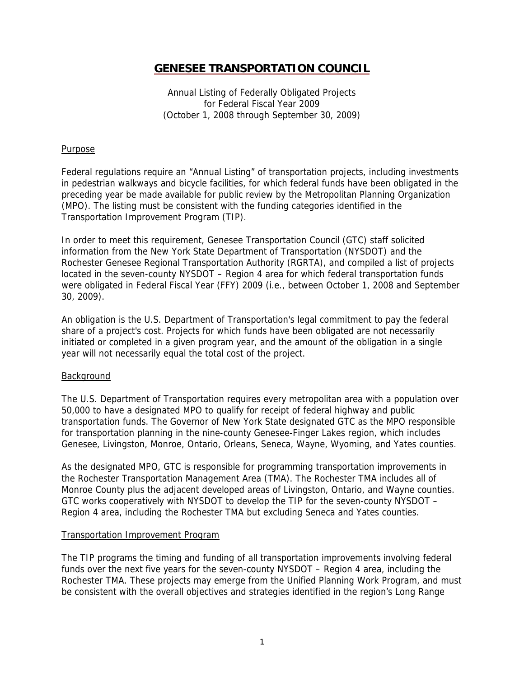Annual Listing of Federally Obligated Projects for Federal Fiscal Year 2009 (October 1, 2008 through September 30, 2009)

## **Purpose**

Federal regulations require an "Annual Listing" of transportation projects, including investments in pedestrian walkways and bicycle facilities, for which federal funds have been obligated in the preceding year be made available for public review by the Metropolitan Planning Organization (MPO). The listing must be consistent with the funding categories identified in the Transportation Improvement Program (TIP).

In order to meet this requirement, Genesee Transportation Council (GTC) staff solicited information from the New York State Department of Transportation (NYSDOT) and the Rochester Genesee Regional Transportation Authority (RGRTA), and compiled a list of projects located in the seven-county NYSDOT – Region 4 area for which federal transportation funds were obligated in Federal Fiscal Year (FFY) 2009 (i.e., between October 1, 2008 and September 30, 2009).

An obligation is the U.S. Department of Transportation's legal commitment to pay the federal share of a project's cost. Projects for which funds have been obligated are not necessarily initiated or completed in a given program year, and the amount of the obligation in a single year will not necessarily equal the total cost of the project.

## **Background**

The U.S. Department of Transportation requires every metropolitan area with a population over 50,000 to have a designated MPO to qualify for receipt of federal highway and public transportation funds. The Governor of New York State designated GTC as the MPO responsible for transportation planning in the nine-county Genesee-Finger Lakes region, which includes Genesee, Livingston, Monroe, Ontario, Orleans, Seneca, Wayne, Wyoming, and Yates counties.

As the designated MPO, GTC is responsible for programming transportation improvements in the Rochester Transportation Management Area (TMA). The Rochester TMA includes all of Monroe County plus the adjacent developed areas of Livingston, Ontario, and Wayne counties. GTC works cooperatively with NYSDOT to develop the TIP for the seven-county NYSDOT – Region 4 area, including the Rochester TMA but excluding Seneca and Yates counties.

## Transportation Improvement Program

The TIP programs the timing and funding of all transportation improvements involving federal funds over the next five years for the seven-county NYSDOT – Region 4 area, including the Rochester TMA. These projects may emerge from the Unified Planning Work Program, and must be consistent with the overall objectives and strategies identified in the region's Long Range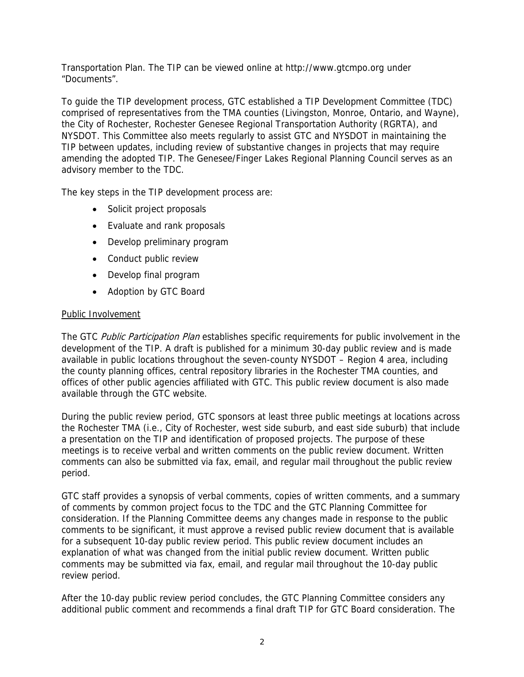Transportation Plan. The TIP can be viewed online at http://www.gtcmpo.org under "Documents".

To guide the TIP development process, GTC established a TIP Development Committee (TDC) comprised of representatives from the TMA counties (Livingston, Monroe, Ontario, and Wayne), the City of Rochester, Rochester Genesee Regional Transportation Authority (RGRTA), and NYSDOT. This Committee also meets regularly to assist GTC and NYSDOT in maintaining the TIP between updates, including review of substantive changes in projects that may require amending the adopted TIP. The Genesee/Finger Lakes Regional Planning Council serves as an advisory member to the TDC.

The key steps in the TIP development process are:

- Solicit project proposals
- Evaluate and rank proposals
- Develop preliminary program
- Conduct public review
- Develop final program
- Adoption by GTC Board

## Public Involvement

The GTC Public Participation Plan establishes specific requirements for public involvement in the development of the TIP. A draft is published for a minimum 30-day public review and is made available in public locations throughout the seven-county NYSDOT – Region 4 area, including the county planning offices, central repository libraries in the Rochester TMA counties, and offices of other public agencies affiliated with GTC. This public review document is also made available through the GTC website.

During the public review period, GTC sponsors at least three public meetings at locations across the Rochester TMA (i.e., City of Rochester, west side suburb, and east side suburb) that include a presentation on the TIP and identification of proposed projects. The purpose of these meetings is to receive verbal and written comments on the public review document. Written comments can also be submitted via fax, email, and regular mail throughout the public review period.

GTC staff provides a synopsis of verbal comments, copies of written comments, and a summary of comments by common project focus to the TDC and the GTC Planning Committee for consideration. If the Planning Committee deems any changes made in response to the public comments to be significant, it must approve a revised public review document that is available for a subsequent 10-day public review period. This public review document includes an explanation of what was changed from the initial public review document. Written public comments may be submitted via fax, email, and regular mail throughout the 10-day public review period.

After the 10-day public review period concludes, the GTC Planning Committee considers any additional public comment and recommends a final draft TIP for GTC Board consideration. The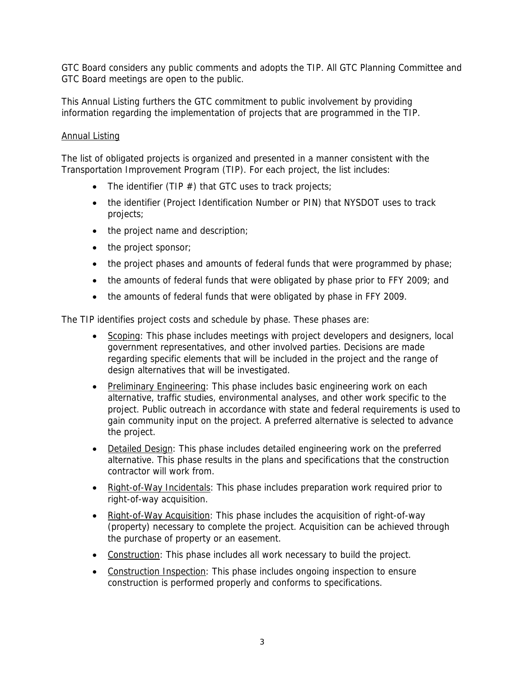GTC Board considers any public comments and adopts the TIP. All GTC Planning Committee and GTC Board meetings are open to the public.

This Annual Listing furthers the GTC commitment to public involvement by providing information regarding the implementation of projects that are programmed in the TIP.

# Annual Listing

The list of obligated projects is organized and presented in a manner consistent with the Transportation Improvement Program (TIP). For each project, the list includes:

- The identifier (TIP  $#$ ) that GTC uses to track projects;
- the identifier (Project Identification Number or PIN) that NYSDOT uses to track projects;
- the project name and description;
- the project sponsor;
- the project phases and amounts of federal funds that were programmed by phase;
- the amounts of federal funds that were obligated by phase prior to FFY 2009; and
- the amounts of federal funds that were obligated by phase in FFY 2009.

The TIP identifies project costs and schedule by phase. These phases are:

- Scoping: This phase includes meetings with project developers and designers, local government representatives, and other involved parties. Decisions are made regarding specific elements that will be included in the project and the range of design alternatives that will be investigated.
- Preliminary Engineering: This phase includes basic engineering work on each alternative, traffic studies, environmental analyses, and other work specific to the project. Public outreach in accordance with state and federal requirements is used to gain community input on the project. A preferred alternative is selected to advance the project.
- Detailed Design: This phase includes detailed engineering work on the preferred alternative. This phase results in the plans and specifications that the construction contractor will work from.
- Right-of-Way Incidentals: This phase includes preparation work required prior to right-of-way acquisition.
- Right-of-Way Acquisition: This phase includes the acquisition of right-of-way (property) necessary to complete the project. Acquisition can be achieved through the purchase of property or an easement.
- Construction: This phase includes all work necessary to build the project.
- Construction Inspection: This phase includes ongoing inspection to ensure construction is performed properly and conforms to specifications.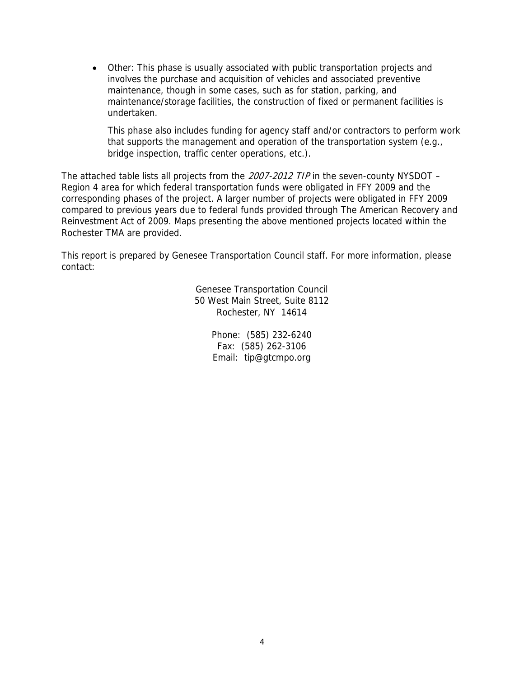• Other: This phase is usually associated with public transportation projects and involves the purchase and acquisition of vehicles and associated preventive maintenance, though in some cases, such as for station, parking, and maintenance/storage facilities, the construction of fixed or permanent facilities is undertaken.

This phase also includes funding for agency staff and/or contractors to perform work that supports the management and operation of the transportation system (e.g., bridge inspection, traffic center operations, etc.).

The attached table lists all projects from the 2007-2012 TIP in the seven-county NYSDOT – Region 4 area for which federal transportation funds were obligated in FFY 2009 and the corresponding phases of the project. A larger number of projects were obligated in FFY 2009 compared to previous years due to federal funds provided through The American Recovery and Reinvestment Act of 2009. Maps presenting the above mentioned projects located within the Rochester TMA are provided.

This report is prepared by Genesee Transportation Council staff. For more information, please contact:

> Genesee Transportation Council 50 West Main Street, Suite 8112 Rochester, NY 14614

> > Phone: (585) 232-6240 Fax: (585) 262-3106 Email: tip@gtcmpo.org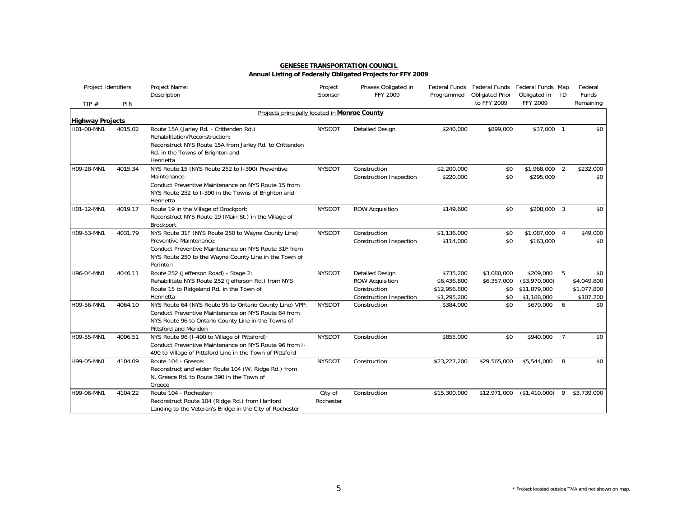| <b>GENESEE TRANSPORTATION COUNCIL</b>                       |  |
|-------------------------------------------------------------|--|
| Annual Listing of Federally Obligated Projects for FFY 2009 |  |

| Project Identifiers     |         | Project Name:                                                                                                                                                                                              | Project<br>Sponsor   | Phases Obligated in<br>FFY 2009                                                                    |                                                         | Federal Funds Federal Funds Federal Funds Map |                                                             | ID             | Federal<br>Funds                               |
|-------------------------|---------|------------------------------------------------------------------------------------------------------------------------------------------------------------------------------------------------------------|----------------------|----------------------------------------------------------------------------------------------------|---------------------------------------------------------|-----------------------------------------------|-------------------------------------------------------------|----------------|------------------------------------------------|
| TIP $#$                 | PIN     | Description                                                                                                                                                                                                |                      |                                                                                                    | Programmed                                              | <b>Obligated Prior</b><br>to FFY 2009         | Obligated in<br>FFY 2009                                    |                | Remaining                                      |
|                         |         | Projects principally located in Monroe County                                                                                                                                                              |                      |                                                                                                    |                                                         |                                               |                                                             |                |                                                |
| <b>Highway Projects</b> |         |                                                                                                                                                                                                            |                      |                                                                                                    |                                                         |                                               |                                                             |                |                                                |
| H01-08-MN1              | 4015.02 | Route 15A (Jarley Rd. - Crittenden Rd.)<br>Rehabilitation/Reconstruction:<br>Reconstruct NYS Route 15A from Jarley Rd. to Crittenden<br>Rd. in the Towns of Brighton and<br>Henrietta                      | <b>NYSDOT</b>        | <b>Detailed Design</b>                                                                             | \$240,000                                               | \$899,000                                     | \$37,000 1                                                  |                | \$0                                            |
| H09-28-MN1              | 4015.34 | NYS Route 15 (NYS Route 252 to I-390) Preventive<br>Maintenance:<br>Conduct Preventive Maintenance on NYS Route 15 from<br>NYS Route 252 to I-390 in the Towns of Brighton and<br>Henrietta                | <b>NYSDOT</b>        | Construction<br>Construction Inspection                                                            | \$2,200,000<br>\$220,000                                | \$0<br>\$0                                    | \$1,968,000 2<br>\$295,000                                  |                | \$232,000<br>\$0                               |
| H01-12-MN1              | 4019.17 | Route 19 in the Village of Brockport:<br>Reconstruct NYS Route 19 (Main St.) in the Village of<br>Brockport                                                                                                | <b>NYSDOT</b>        | <b>ROW Acquisition</b>                                                                             | \$149,600                                               | \$0                                           | \$208,000 3                                                 |                | \$0                                            |
| H09-53-MN1              | 4031.79 | NYS Route 31F (NYS Route 250 to Wayne County Line)<br>Preventive Maintenance:<br>Conduct Preventive Maintenance on NYS Route 31F from<br>NYS Route 250 to the Wayne County Line in the Town of<br>Perinton | <b>NYSDOT</b>        | Construction<br>Construction Inspection                                                            | \$1,136,000<br>\$114,000                                | \$0<br>\$0                                    | \$1,087,000 4<br>\$163,000                                  |                | \$49,000<br>\$0                                |
| H96-04-MN1              | 4046.11 | Route 252 (Jefferson Road) - Stage 2:<br>Rehabilitate NYS Route 252 (Jefferson Rd.) from NYS<br>Route 15 to Ridgeland Rd. in the Town of<br>Henrietta                                                      | <b>NYSDOT</b>        | <b>Detailed Design</b><br><b>ROW Acquisition</b><br>Construction<br><b>Construction Inspection</b> | \$735,200<br>\$6,436,800<br>\$12,956,800<br>\$1,295,200 | \$3,080,000<br>\$6,357,000<br>\$0<br>\$0      | \$209,000 5<br>(\$3,970,000)<br>\$11,879,000<br>\$1,188,000 |                | \$0<br>\$4,049,800<br>\$1,077,800<br>\$107,200 |
| H09-56-MN1              | 4064.10 | NYS Route 64 (NYS Route 96 to Ontario County Line) VPP:<br>Conduct Preventive Maintenance on NYS Route 64 from<br>NYS Route 96 to Ontario County Line in the Towns of<br>Pittsford and Mendon              | <b>NYSDOT</b>        | Construction                                                                                       | \$384,000                                               | \$0                                           | \$679,000 6                                                 |                | \$0                                            |
| H09-55-MN1              | 4096.51 | NYS Route 96 (I-490 to Village of Pittsford):<br>Conduct Preventive Maintenance on NYS Route 96 from 1.<br>490 to Village of Pittsford Line in the Town of Pittsford                                       | <b>NYSDOT</b>        | Construction                                                                                       | \$855,000                                               | \$0                                           | \$940,000                                                   | $\overline{7}$ | \$0                                            |
| H99-05-MN1              | 4104.09 | Route 104 - Greece:<br>Reconstruct and widen Route 104 (W. Ridge Rd.) from<br>N. Greece Rd. to Route 390 in the Town of<br>Greece                                                                          | <b>NYSDOT</b>        | Construction                                                                                       | \$23,227,200                                            | \$29,565,000                                  | \$5,544,000                                                 | -8             | \$0                                            |
| H99-06-MN1              | 4104.22 | Route 104 - Rochester:<br>Reconstruct Route 104 (Ridge Rd.) from Hanford<br>Landing to the Veteran's Bridge in the City of Rochester                                                                       | City of<br>Rochester | Construction                                                                                       | \$15,300,000                                            | \$12,971,000                                  | (\$1,410,000)                                               | 9              | \$3,739,000                                    |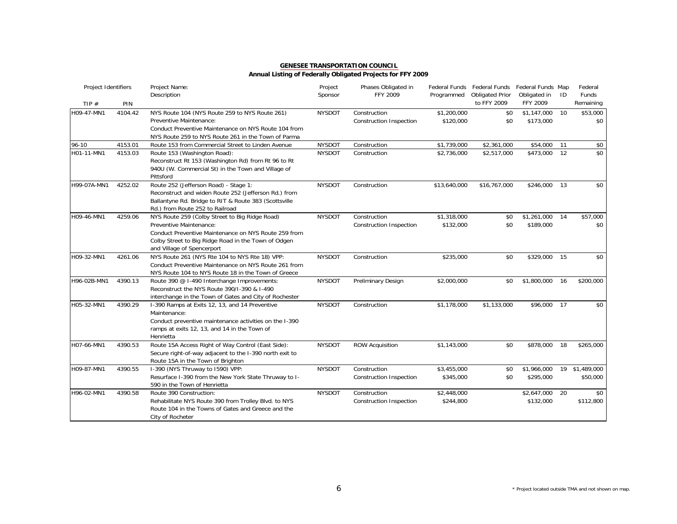| Project Identifiers |         | Project Name:<br>Description                                                                                                                                                                                           | Project<br>Sponsor | Phases Obligated in<br><b>FFY 2009</b>         | Programmed               | Federal Funds Federal Funds<br><b>Obligated Prior</b> | Federal Funds Map<br>Obligated in | ID | Federal<br>Funds           |
|---------------------|---------|------------------------------------------------------------------------------------------------------------------------------------------------------------------------------------------------------------------------|--------------------|------------------------------------------------|--------------------------|-------------------------------------------------------|-----------------------------------|----|----------------------------|
| TIP $#$             | PIN     |                                                                                                                                                                                                                        |                    |                                                |                          | to FFY 2009                                           | FFY 2009                          |    | Remaining                  |
| H09-47-MN1          | 4104.42 | NYS Route 104 (NYS Route 259 to NYS Route 261)<br>Preventive Maintenance:<br>Conduct Preventive Maintenance on NYS Route 104 from<br>NYS Route 259 to NYS Route 261 in the Town of Parma                               | <b>NYSDOT</b>      | Construction<br>Construction Inspection        | \$1,200,000<br>\$120,000 | \$0<br>\$0                                            | \$1,147,000<br>\$173,000          | 10 | \$53,000<br>\$0            |
| $96 - 10$           | 4153.01 | Route 153 from Commercial Street to Linden Avenue                                                                                                                                                                      | <b>NYSDOT</b>      | Construction                                   | \$1,739,000              | \$2,361,000                                           | \$54,000                          | 11 | \$0                        |
| H01-11-MN1          | 4153.03 | Route 153 (Washington Road):<br>Reconstruct Rt 153 (Washington Rd) from Rt 96 to Rt<br>940U (W. Commercial St) in the Town and Village of<br>Pittsford                                                                 | <b>NYSDOT</b>      | Construction                                   | \$2,736,000              | \$2,517,000                                           | $$473,000$ 12                     |    | \$0                        |
| H99-07A-MN1         | 4252.02 | Route 252 (Jefferson Road) - Stage 1:<br>Reconstruct and widen Route 252 (Jefferson Rd.) from<br>Ballantyne Rd. Bridge to RIT & Route 383 (Scottsville<br>Rd.) from Route 252 to Railroad                              | <b>NYSDOT</b>      | Construction                                   | \$13,640,000             | \$16,767,000                                          | \$246,000                         | 13 | \$0                        |
| H09-46-MN1          | 4259.06 | NYS Route 259 (Colby Street to Big Ridge Road)<br>Preventive Maintenance:<br>Conduct Preventive Maintenance on NYS Route 259 from<br>Colby Street to Big Ridge Road in the Town of Odgen<br>and Village of Spencerport | <b>NYSDOT</b>      | Construction<br><b>Construction Inspection</b> | \$1,318,000<br>\$132,000 | \$0<br>\$0                                            | \$1,261,000<br>\$189,000          | 14 | \$57,000<br>\$0            |
| H09-32-MN1          | 4261.06 | NYS Route 261 (NYS Rte 104 to NYS Rte 18) VPP:<br>Conduct Preventive Maintenance on NYS Route 261 from<br>NYS Route 104 to NYS Route 18 in the Town of Greece                                                          | <b>NYSDOT</b>      | Construction                                   | \$235,000                | \$0                                                   | \$329,000                         | 15 | \$0                        |
| H96-02B-MN1         | 4390.13 | Route 390 @ I-490 Interchange Improvements:<br>Reconstruct the NYS Route 390/1-390 & 1-490<br>interchange in the Town of Gates and City of Rochester                                                                   | <b>NYSDOT</b>      | Preliminary Design                             | \$2,000,000              | \$0                                                   | \$1,800,000                       | 16 | \$200,000                  |
| H05-32-MN1          | 4390.29 | I-390 Ramps at Exits 12, 13, and 14 Preventive<br>Maintenance:<br>Conduct preventive maintenance activities on the I-390<br>ramps at exits 12, 13, and 14 in the Town of<br>Henrietta                                  | <b>NYSDOT</b>      | Construction                                   | \$1,178,000              | \$1,133,000                                           | \$96,000                          | 17 | \$0                        |
| H07-66-MN1          | 4390.53 | Route 15A Access Right of Way Control (East Side):<br>Secure right-of-way adjacent to the 1-390 north exit to<br>Route 15A in the Town of Brighton                                                                     | <b>NYSDOT</b>      | <b>ROW Acquisition</b>                         | \$1,143,000              | \$0                                                   | \$878,000                         | 18 | \$265,000                  |
| H09-87-MN1          | 4390.55 | I-390 (NYS Thruway to I590) VPP:<br>Resurface I-390 from the New York State Thruway to I-<br>590 in the Town of Henrietta                                                                                              | <b>NYSDOT</b>      | Construction<br>Construction Inspection        | \$3,455,000<br>\$345,000 | \$0<br>\$0                                            | \$1,966,000<br>\$295,000          |    | 19 \$1,489,000<br>\$50,000 |
| H96-02-MN1          | 4390.58 | Route 390 Construction:<br>Rehabilitate NYS Route 390 from Trolley Blvd. to NYS<br>Route 104 in the Towns of Gates and Greece and the<br>City of Rocheter                                                              | <b>NYSDOT</b>      | Construction<br>Construction Inspection        | \$2,448,000<br>\$244,800 |                                                       | \$2,647,000<br>\$132,000          | 20 | \$0<br>\$112,800           |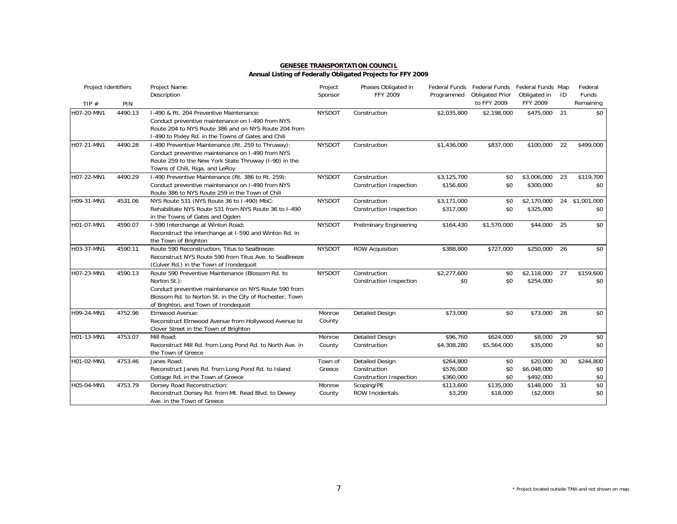| <b>GENESEE TRANSPORTATION COUNCIL</b>                       |  |
|-------------------------------------------------------------|--|
| Annual Listing of Federally Obligated Projects for FFY 2009 |  |

| Project Identifiers |         | Project Name:<br>Description                                                                                                                                                                                                 | Project<br>Sponsor | Phases Obligated in<br>FFY 2009                                   | Programmed                          | Federal Funds Federal Funds<br><b>Obligated Prior</b> | Federal Funds Map<br>Obligated in    | ID | Federal<br>Funds        |
|---------------------|---------|------------------------------------------------------------------------------------------------------------------------------------------------------------------------------------------------------------------------------|--------------------|-------------------------------------------------------------------|-------------------------------------|-------------------------------------------------------|--------------------------------------|----|-------------------------|
| TIP $#$             | PIN     |                                                                                                                                                                                                                              |                    |                                                                   |                                     | to FFY 2009                                           | FFY 2009                             |    | Remaining               |
| H07-20-MN1          | 4490.13 | I-490 & Rt. 204 Preventive Maintenance:<br>Conduct preventive maintenance on I-490 from NYS<br>Route 204 to NYS Route 386 and on NYS Route 204 from<br>I-490 to Pixley Rd. in the Towns of Gates and Chili                   | <b>NYSDOT</b>      | Construction                                                      | \$2,035,800                         | \$2,198,000                                           | \$475,000                            | 21 | \$0                     |
| H07-21-MN1          | 4490.28 | I-490 Preventive Maintenance (Rt. 259 to Thruway):<br>Conduct preventive maintenance on I-490 from NYS<br>Route 259 to the New York State Thruway (I-90) in the<br>Towns of Chili, Riga, and LeRoy                           | <b>NYSDOT</b>      | Construction                                                      | \$1,436,000                         | \$837,000                                             | \$100,000                            | 22 | \$499,000               |
| H07-22-MN1          | 4490.29 | I-490 Preventive Maintenance (Rt. 386 to Rt. 259):<br>Conduct preventive maintenance on I-490 from NYS<br>Route 386 to NYS Route 259 in the Town of Chili                                                                    | <b>NYSDOT</b>      | Construction<br><b>Construction Inspection</b>                    | \$3,125,700<br>\$156,600            | \$0<br>\$0                                            | \$3,006,000<br>\$300,000             | 23 | \$119,700<br>\$0        |
| H09-31-MN1          | 4531.06 | NYS Route 531 (NYS Route 36 to I-490) MbC:<br>Rehabilitate NYS Route 531 from NYS Route 36 to 1-490<br>in the Towns of Gates and Ogden                                                                                       | <b>NYSDOT</b>      | Construction<br>Construction Inspection                           | \$3,171,000<br>\$317,000            | \$0<br>\$0                                            | \$2,170,000<br>\$325,000             |    | 24 \$1,001,000<br>\$0   |
| H01-07-MN1          | 4590.07 | I-590 Interchange at Winton Road:<br>Reconstruct the interchange at I-590 and Winton Rd. in<br>the Town of Brighton                                                                                                          | <b>NYSDOT</b>      | <b>Preliminary Engineering</b>                                    | \$164,430                           | \$1,570,000                                           | \$44,000                             | 25 | \$0                     |
| H03-37-MN1          | 4590.11 | Route 590 Reconstruction; Titus to SeaBreeze:<br>Reconstruct NYS Route 590 from Titus Ave. to SeaBreeze<br>(Culver Rd.) in the Town of Irondequoit                                                                           | <b>NYSDOT</b>      | <b>ROW Acquisition</b>                                            | \$388,800                           | \$727,000                                             | \$250,000                            | 26 | \$0                     |
| H07-23-MN1          | 4590.13 | Route 590 Preventive Maintenance (Blossom Rd. to<br>Norton St.):<br>Conduct preventive maintenance on NYS Route 590 from<br>Blossom Rd. to Norton St. in the City of Rochester, Town<br>of Brighton, and Town of Irondequoit | <b>NYSDOT</b>      | Construction<br>Construction Inspection                           | \$2,277,600<br>\$0                  | \$0<br>\$0                                            | \$2,118,000<br>\$254,000             | 27 | \$159,600<br>\$0        |
| H99-24-MN1          | 4752.96 | Elmwood Avenue:<br>Reconstruct Elmwood Avenue from Hollywood Avenue to<br>Clover Street in the Town of Brighton                                                                                                              | Monroe<br>County   | <b>Detailed Design</b>                                            | \$73,000                            | \$0                                                   | \$73,000                             | 28 | \$0                     |
| H01-13-MN1          | 4753.07 | Mill Road:<br>Reconstruct Mill Rd. from Long Pond Rd. to North Ave. in<br>the Town of Greece                                                                                                                                 | Monroe<br>County   | <b>Detailed Design</b><br>Construction                            | \$96,760<br>\$4,308,280             | \$624,000<br>\$5,564,000                              | \$8,000 29<br>\$35,000               |    | \$0<br>\$0              |
| H01-02-MN1          | 4753.46 | Janes Road:<br>Reconstruct Janes Rd. from Long Pond Rd. to Island<br>Cottage Rd. in the Town of Greece                                                                                                                       | Town of<br>Greece  | <b>Detailed Design</b><br>Construction<br>Construction Inspection | \$264,800<br>\$576,000<br>\$360,000 | \$0<br>\$0<br>\$0                                     | \$20,000<br>\$6,048,000<br>\$492,000 | 30 | \$244,800<br>\$0<br>\$0 |
| H05-04-MN1          | 4753.79 | Dorsey Road Reconstruction:<br>Reconstruct Dorsey Rd. from Mt. Read Blvd. to Dewey<br>Ave. in the Town of Greece                                                                                                             | Monroe<br>County   | Scoping/PE<br>ROW Incidentals                                     | \$113,600<br>\$3,200                | \$135,000<br>\$18,000                                 | \$148,000 31<br>(\$2,000)            |    | \$0<br>\$0              |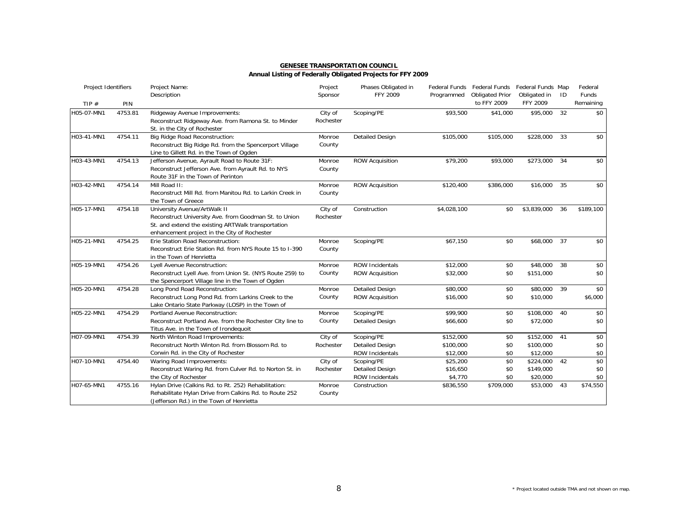| <b>GENESEE TRANSPORTATION COUNCIL</b>                       |  |
|-------------------------------------------------------------|--|
| Annual Listing of Federally Obligated Projects for FFY 2009 |  |

| Project Identifiers |         | Project Name:                                                                                                                                                                               | Project              | Phases Obligated in                                     |                                    | Federal Funds Federal Funds Federal Funds Map |                                       |    | Federal            |
|---------------------|---------|---------------------------------------------------------------------------------------------------------------------------------------------------------------------------------------------|----------------------|---------------------------------------------------------|------------------------------------|-----------------------------------------------|---------------------------------------|----|--------------------|
| TIP $#$             | PIN     | Description                                                                                                                                                                                 | Sponsor              | FFY 2009                                                | Programmed                         | <b>Obligated Prior</b><br>to FFY 2009         | Obligated in<br>FFY 2009              | ID | Funds<br>Remaining |
| H05-07-MN1          | 4753.81 | Ridgeway Avenue Improvements:<br>Reconstruct Ridgeway Ave. from Ramona St. to Minder<br>St. in the City of Rochester                                                                        | City of<br>Rochester | Scoping/PE                                              | \$93,500                           | \$41,000                                      | \$95,000                              | 32 | \$0                |
| H03-41-MN1          | 4754.11 | Big Ridge Road Reconstruction:<br>Reconstruct Big Ridge Rd. from the Spencerport Village<br>Line to Gillett Rd. in the Town of Ogden                                                        | Monroe<br>County     | <b>Detailed Design</b>                                  | \$105,000                          | \$105,000                                     | \$228,000                             | 33 | \$0                |
| H03-43-MN1          | 4754.13 | Jefferson Avenue, Ayrault Road to Route 31F:<br>Reconstruct Jefferson Ave. from Ayrault Rd. to NYS<br>Route 31F in the Town of Perinton                                                     | Monroe<br>County     | <b>ROW Acquisition</b>                                  | \$79,200                           | \$93,000                                      | \$273,000                             | 34 | \$0                |
| H03-42-MN1          | 4754.14 | Mill Road II:<br>Reconstruct Mill Rd. from Manitou Rd. to Larkin Creek in<br>the Town of Greece                                                                                             | Monroe<br>County     | <b>ROW Acquisition</b>                                  | \$120,400                          | \$386,000                                     | \$16,000                              | 35 | \$0                |
| H05-17-MN1          | 4754.18 | University Avenue/ArtWalk II<br>Reconstruct University Ave. from Goodman St. to Union<br>St. and extend the existing ARTWalk transportation<br>enhancement project in the City of Rochester | City of<br>Rochester | Construction                                            | \$4,028,100                        | \$0                                           | \$3,839,000                           | 36 | \$189,100          |
| H05-21-MN1          | 4754.25 | Erie Station Road Reconstruction:<br>Reconstruct Erie Station Rd. from NYS Route 15 to I-390<br>in the Town of Henrietta                                                                    | Monroe<br>County     | Scoping/PE                                              | \$67,150                           | \$0                                           | \$68,000                              | 37 | \$0                |
| H05-19-MN1          | 4754.26 | Lyell Avenue Reconstruction:<br>Reconstruct Lyell Ave. from Union St. (NYS Route 259) to<br>the Spencerport Village line in the Town of Ogden                                               | Monroe<br>County     | <b>ROW Incidentals</b><br><b>ROW Acquisition</b>        | \$12,000<br>\$32,000               | \$0<br>\$0                                    | \$48,000 38<br>\$151,000              |    | \$0<br>\$0         |
| H05-20-MN1          | 4754.28 | Long Pond Road Reconstruction:<br>Reconstruct Long Pond Rd. from Larkins Creek to the<br>Lake Ontario State Parkway (LOSP) in the Town of                                                   | Monroe<br>County     | <b>Detailed Design</b><br><b>ROW Acquisition</b>        | \$80,000<br>\$16,000               | \$0<br>\$0                                    | \$80,000<br>\$10,000                  | 39 | \$0<br>\$6,000     |
| H05-22-MN1          | 4754.29 | Portland Avenue Reconstruction:<br>Reconstruct Portland Ave. from the Rochester City line to<br>Titus Ave. in the Town of Irondequoit                                                       | Monroe<br>County     | Scoping/PE<br><b>Detailed Design</b>                    | \$99.900<br>\$66,600               | \$0<br>\$0                                    | \$108,000<br>\$72,000                 | 40 | \$0<br>\$0         |
| H07-09-MN1          | 4754.39 | North Winton Road Improvements:<br>Reconstruct North Winton Rd. from Blossom Rd. to<br>Corwin Rd. in the City of Rochester                                                                  | City of<br>Rochester | Scoping/PE<br><b>Detailed Design</b><br>ROW Incidentals | \$152,000<br>\$100,000<br>\$12,000 | \$0<br>\$0<br>\$0                             | \$152,000<br>\$100,000<br>\$12,000    | 41 | \$0<br>\$0<br>\$0  |
| H07-10-MN1          | 4754.40 | Waring Road Improvements:<br>Reconstruct Waring Rd. from Culver Rd. to Norton St. in<br>the City of Rochester                                                                               | City of<br>Rochester | Scoping/PE<br><b>Detailed Design</b><br>ROW Incidentals | \$25,200<br>\$16,650<br>\$4,770    | \$0<br>\$0<br>\$0                             | \$224,000 42<br>\$149,000<br>\$20,000 |    | \$0<br>\$0<br>\$0  |
| H07-65-MN1          | 4755.16 | Hylan Drive (Calkins Rd. to Rt. 252) Rehabilitation:<br>Rehabilitate Hylan Drive from Calkins Rd. to Route 252<br>(Jefferson Rd.) in the Town of Henrietta                                  | Monroe<br>County     | Construction                                            | \$836,550                          | \$709,000                                     | \$53,000                              | 43 | \$74,550           |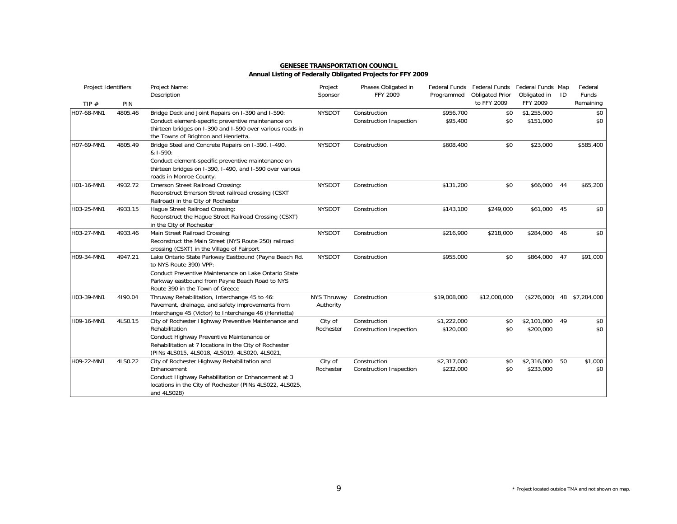| Project Identifiers |         | Project Name:<br>Description                                                                                                                                                                                                   | Project<br>Sponsor       | Phases Obligated in<br><b>FFY 2009</b>  | Programmed               | Federal Funds Federal Funds<br><b>Obligated Prior</b> | Federal Funds Map<br>Obligated in | -ID | Federal<br>Funds |
|---------------------|---------|--------------------------------------------------------------------------------------------------------------------------------------------------------------------------------------------------------------------------------|--------------------------|-----------------------------------------|--------------------------|-------------------------------------------------------|-----------------------------------|-----|------------------|
| TIP $#$             | PIN     |                                                                                                                                                                                                                                |                          |                                         |                          | to FFY 2009                                           | <b>FFY 2009</b>                   |     | Remaining        |
| H07-68-MN1          | 4805.46 | Bridge Deck and Joint Repairs on I-390 and I-590:<br>Conduct element-specific preventive maintenance on<br>thirteen bridges on I-390 and I-590 over various roads in<br>the Towns of Brighton and Henrietta.                   | <b>NYSDOT</b>            | Construction<br>Construction Inspection | \$956,700<br>\$95,400    | \$0<br>\$0                                            | \$1,255,000<br>\$151,000          |     | \$0<br>\$0       |
| H07-69-MN1          | 4805.49 | Bridge Steel and Concrete Repairs on I-390, I-490,<br>& I-590:<br>Conduct element-specific preventive maintenance on<br>thirteen bridges on I-390, I-490, and I-590 over various<br>roads in Monroe County.                    | <b>NYSDOT</b>            | Construction                            | \$608,400                | \$0                                                   | \$23,000                          |     | \$585,400        |
| H01-16-MN1          | 4932.72 | Emerson Street Railroad Crossing:<br>Reconstruct Emerson Street railroad crossing (CSXT<br>Railroad) in the City of Rochester                                                                                                  | <b>NYSDOT</b>            | Construction                            | \$131,200                | \$0                                                   | \$66,000                          | 44  | \$65,200         |
| H03-25-MN1          | 4933.15 | Hague Street Railroad Crossing:<br>Reconstruct the Hague Street Railroad Crossing (CSXT)<br>in the City of Rochester                                                                                                           | <b>NYSDOT</b>            | Construction                            | \$143,100                | \$249,000                                             | \$61,000                          | 45  | \$0              |
| H03-27-MN1          | 4933.46 | Main Street Railroad Crossing:<br>Reconstruct the Main Street (NYS Route 250) railroad<br>crossing (CSXT) in the Village of Fairport                                                                                           | <b>NYSDOT</b>            | Construction                            | \$216,900                | \$218,000                                             | \$284,000                         | 46  | \$0              |
| H09-34-MN1          | 4947.21 | Lake Ontario State Parkway Eastbound (Payne Beach Rd.<br>to NYS Route 390) VPP:<br>Conduct Preventive Maintenance on Lake Ontario State<br>Parkway eastbound from Payne Beach Road to NYS<br>Route 390 in the Town of Greece   | <b>NYSDOT</b>            | Construction                            | \$955,000                | \$0                                                   | \$864,000                         | 47  | \$91,000         |
| H03-39-MN1          | 4190.04 | Thruway Rehabilitation, Interchange 45 to 46:<br>Pavement, drainage, and safety improvements from<br>Interchange 45 (Victor) to Interchange 46 (Henrietta)                                                                     | NYS Thruway<br>Authority | Construction                            | \$19,008,000             | \$12,000,000                                          | (\$276,000)                       |     | 48 \$7,284,000   |
| H09-16-MN1          | 4LS0.15 | City of Rochester Highway Preventive Maintenance and<br>Rehabilitation<br>Conduct Highway Preventive Maintenance or<br>Rehabilitation at 7 locations in the City of Rochester<br>(PINs 4LS015, 4LS018, 4LS019, 4LS020, 4LS021, | City of<br>Rochester     | Construction<br>Construction Inspection | \$1,222,000<br>\$120,000 | \$0<br>\$0                                            | \$2,101,000<br>\$200,000          | 49  | \$0<br>\$0       |
| H09-22-MN1          | 4LS0.22 | City of Rochester Highway Rehabilitation and<br>Enhancement<br>Conduct Highway Rehabilitation or Enhancement at 3<br>locations in the City of Rochester (PINs 4LS022, 4LS025,<br>and 4LS028)                                   | City of<br>Rochester     | Construction<br>Construction Inspection | \$2,317,000<br>\$232,000 | \$0<br>\$0                                            | \$2,316,000<br>\$233,000          | 50  | \$1,000<br>\$0   |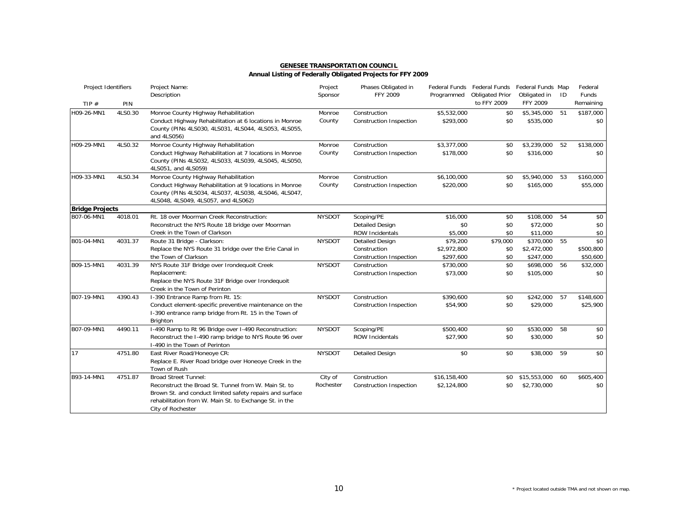| Project Identifiers    |         | Project Name:<br>Description                                                                                                                                                                                                   | Project<br>Sponsor   | Phases Obligated in<br><b>FFY 2009</b>                            | Programmed                           | Federal Funds Federal Funds<br><b>Obligated Prior</b> | Federal Funds Map<br>Obligated in        | ID | Federal<br><b>Funds</b>      |
|------------------------|---------|--------------------------------------------------------------------------------------------------------------------------------------------------------------------------------------------------------------------------------|----------------------|-------------------------------------------------------------------|--------------------------------------|-------------------------------------------------------|------------------------------------------|----|------------------------------|
| TIP $#$                | PIN     |                                                                                                                                                                                                                                |                      |                                                                   |                                      | to FFY 2009                                           | FFY 2009                                 |    | Remaining                    |
| H09-26-MN1             | 4LS0.30 | Monroe County Highway Rehabilitation<br>Conduct Highway Rehabilitation at 6 locations in Monroe<br>County (PINs 4LS030, 4LS031, 4LS044, 4LS053, 4LS055,<br>and 4LS056)                                                         | Monroe<br>County     | Construction<br>Construction Inspection                           | \$5,532,000<br>\$293,000             | \$0<br>\$0                                            | \$5,345,000<br>\$535,000                 | 51 | \$187,000<br>\$0             |
| H09-29-MN1             | 4LS0.32 | Monroe County Highway Rehabilitation<br>Conduct Highway Rehabilitation at 7 locations in Monroe<br>County (PINs 4LS032, 4LS033, 4LS039, 4LS045, 4LS050,<br>4LS051, and 4LS059)                                                 | Monroe<br>County     | Construction<br>Construction Inspection                           | \$3,377,000<br>\$178,000             | \$0<br>\$0                                            | \$3,239,000<br>\$316,000                 | 52 | \$138,000<br>\$0             |
| H09-33-MN1             | 4LS0.34 | Monroe County Highway Rehabilitation<br>Conduct Highway Rehabilitation at 9 locations in Monroe<br>County (PINs 4LS034, 4LS037, 4LS038, 4LS046, 4LS047,<br>4LS048, 4LS049, 4LS057, and 4LS062)                                 | Monroe<br>County     | Construction<br><b>Construction Inspection</b>                    | \$6,100,000<br>\$220,000             | \$0<br>\$0                                            | \$5,940,000 53<br>\$165,000              |    | \$160,000<br>\$55,000        |
| <b>Bridge Projects</b> |         |                                                                                                                                                                                                                                |                      |                                                                   |                                      |                                                       |                                          |    |                              |
| B07-06-MN1             | 4018.01 | Rt. 18 over Moorman Creek Reconstruction:<br>Reconstruct the NYS Route 18 bridge over Moorman<br>Creek in the Town of Clarkson                                                                                                 | <b>NYSDOT</b>        | Scoping/PE<br><b>Detailed Design</b><br><b>ROW Incidentals</b>    | \$16,000<br>\$0<br>\$5,000           | \$0<br>\$0<br>\$0                                     | \$108,000 54<br>\$72,000<br>\$11,000     |    | \$0<br>\$0<br>\$0            |
| B01-04-MN1             | 4031.37 | Route 31 Bridge - Clarkson:<br>Replace the NYS Route 31 bridge over the Erie Canal in<br>the Town of Clarkson                                                                                                                  | <b>NYSDOT</b>        | <b>Detailed Design</b><br>Construction<br>Construction Inspection | \$79,200<br>\$2,972,800<br>\$297,600 | \$79,000<br>\$0<br>\$0                                | \$370,000 55<br>\$2,472,000<br>\$247,000 |    | \$0<br>\$500,800<br>\$50,600 |
| B09-15-MN1             | 4031.39 | NYS Route 31F Bridge over Irondequoit Creek<br>Replacement:<br>Replace the NYS Route 31F Bridge over Irondequoit<br>Creek in the Town of Perinton                                                                              | <b>NYSDOT</b>        | Construction<br>Construction Inspection                           | \$730,000<br>\$73,000                | \$0<br>\$0                                            | \$698,000<br>\$105,000                   | 56 | \$32,000<br>\$0              |
| B07-19-MN1             | 4390.43 | I-390 Entrance Ramp from Rt. 15:<br>Conduct element-specific preventive maintenance on the<br>I-390 entrance ramp bridge from Rt. 15 in the Town of<br>Brighton                                                                | <b>NYSDOT</b>        | Construction<br><b>Construction Inspection</b>                    | \$390,600<br>\$54,900                | \$0<br>\$0                                            | \$242,000<br>\$29,000                    | 57 | \$148,600<br>\$25,900        |
| B07-09-MN1             | 4490.11 | I-490 Ramp to Rt 96 Bridge over I-490 Reconstruction:<br>Reconstruct the I-490 ramp bridge to NYS Route 96 over<br>I-490 in the Town of Perinton                                                                               | <b>NYSDOT</b>        | Scoping/PE<br><b>ROW Incidentals</b>                              | \$500,400<br>\$27,900                | \$0<br>\$0                                            | \$530,000<br>\$30,000                    | 58 | \$0<br>\$0                   |
| 17                     | 4751.80 | East River Road/Honeoye CR:<br>Replace E. River Road bridge over Honeoye Creek in the<br>Town of Rush                                                                                                                          | <b>NYSDOT</b>        | <b>Detailed Design</b>                                            | \$0                                  | \$0                                                   | \$38,000                                 | 59 | \$0                          |
| B93-14-MN1             | 4751.87 | <b>Broad Street Tunnel:</b><br>Reconstruct the Broad St. Tunnel from W. Main St. to<br>Brown St. and conduct limited safety repairs and surface<br>rehabilitation from W. Main St. to Exchange St. in the<br>City of Rochester | City of<br>Rochester | Construction<br><b>Construction Inspection</b>                    | \$16,158,400<br>\$2,124,800          | \$0<br>\$0                                            | \$15,553,000<br>\$2,730,000              | 60 | \$605,400<br>\$0             |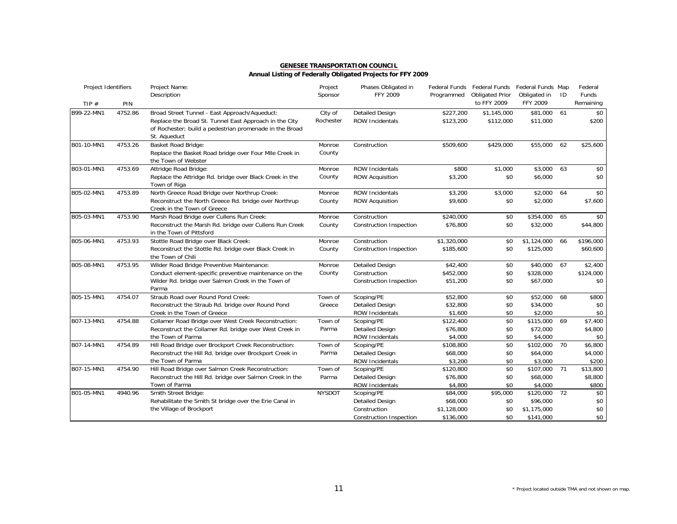| Project Identifiers |         | Project Name:<br>Description                                                                                                                                                       | Project<br>Sponsor   | Phases Obligated in<br>FFY 2009                                                 | Programmed                                       | Federal Funds Federal Funds Federal Funds Map<br><b>Obligated Prior</b> | Obligated in                                         | ID | Federal<br><b>Funds</b>      |
|---------------------|---------|------------------------------------------------------------------------------------------------------------------------------------------------------------------------------------|----------------------|---------------------------------------------------------------------------------|--------------------------------------------------|-------------------------------------------------------------------------|------------------------------------------------------|----|------------------------------|
| TIP $#$             | PIN     |                                                                                                                                                                                    |                      |                                                                                 |                                                  | to FFY 2009                                                             | FFY 2009                                             |    | Remaining                    |
| B99-22-MN1          | 4752.86 | Broad Street Tunnel - East Approach/Aqueduct:<br>Replace the Broad St. Tunnel East Approach in the City<br>of Rochester; build a pedestrian promenade in the Broad<br>St. Aqueduct | City of<br>Rochester | <b>Detailed Design</b><br><b>ROW Incidentals</b>                                | \$227,200<br>\$123,200                           | \$1,145,000<br>\$112,000                                                | \$81,000<br>\$11,000                                 | 61 | \$0<br>\$200                 |
| B01-10-MN1          | 4753.26 | Basket Road Bridge:<br>Replace the Basket Road bridge over Four Mile Creek in<br>the Town of Webster                                                                               | Monroe<br>County     | Construction                                                                    | \$509,600                                        | \$429,000                                                               | \$55,000                                             | 62 | \$25,600                     |
| B03-01-MN1          | 4753.69 | Attridge Road Bridge:<br>Replace the Attridge Rd. bridge over Black Creek in the<br>Town of Riga                                                                                   | Monroe<br>County     | <b>ROW Incidentals</b><br><b>ROW Acquisition</b>                                | \$800<br>\$3,200                                 | \$1,000<br>\$0                                                          | \$3,000<br>\$6,000                                   | 63 | \$0<br>\$0                   |
| B05-02-MN1          | 4753.89 | North Greece Road Bridge over Northrup Creek:<br>Reconstruct the North Greece Rd. bridge over Northrup<br>Creek in the Town of Greece                                              | Monroe<br>County     | ROW Incidentals<br><b>ROW Acquisition</b>                                       | \$3,200<br>\$9,600                               | \$3,000<br>\$0                                                          | \$2,000 64<br>\$2,000                                |    | \$0<br>\$7,600               |
| B05-03-MN1          | 4753.90 | Marsh Road Bridge over Cullens Run Creek:<br>Reconstruct the Marsh Rd. bridge over Cullens Run Creek<br>in the Town of Pittsford                                                   | Monroe<br>County     | Construction<br>Construction Inspection                                         | \$240,000<br>\$76,800                            | \$0<br>\$0                                                              | \$354,000<br>\$32,000                                | 65 | \$0<br>\$44,800              |
| B05-06-MN1          | 4753.93 | Stottle Road Bridge over Black Creek:<br>Reconstruct the Stottle Rd. bridge over Black Creek in<br>the Town of Chili                                                               | Monroe<br>County     | Construction<br>Construction Inspection                                         | \$1,320,000<br>\$185,600                         | \$0<br>\$0                                                              | \$1,124,000<br>\$125,000                             | 66 | \$196,000<br>\$60,600        |
| B05-08-MN1          | 4753.95 | Wilder Road Bridge Preventive Maintenance:<br>Conduct element-specific preventive maintenance on the<br>Wilder Rd. bridge over Salmon Creek in the Town of<br>Parma                | Monroe<br>County     | <b>Detailed Design</b><br>Construction<br><b>Construction Inspection</b>        | \$42,400<br>\$452,000<br>\$51,200                | \$0<br>\$0<br>\$0                                                       | \$40,000 67<br>\$328,000<br>\$67,000                 |    | \$2,400<br>\$124,000<br>\$0  |
| B05-15-MN1          | 4754.07 | Straub Road over Round Pond Creek:<br>Reconstruct the Straub Rd. bridge over Round Pond<br>Creek in the Town of Greece                                                             | Town of<br>Greece    | Scoping/PE<br><b>Detailed Design</b><br>ROW Incidentals                         | \$52,800<br>\$32,800<br>\$1,600                  | \$0<br>\$0<br>\$0                                                       | \$52,000 68<br>\$34,000<br>\$2,000                   |    | \$800<br>\$0<br>\$0          |
| B07-13-MN1          | 4754.88 | Collamer Road Bridge over West Creek Reconstruction:<br>Reconstruct the Collamer Rd. bridge over West Creek in<br>the Town of Parma                                                | Town of<br>Parma     | Scoping/PE<br><b>Detailed Design</b><br><b>ROW Incidentals</b>                  | \$122,400<br>\$76,800<br>\$4,000                 | \$0<br>\$0<br>\$0                                                       | \$115,000<br>\$72,000<br>\$4,000                     | 69 | \$7,400<br>\$4,800<br>\$0    |
| B07-14-MN1          | 4754.89 | Hill Road Bridge over Brockport Creek Reconstruction:<br>Reconstruct the Hill Rd. bridge over Brockport Creek in<br>the Town of Parma                                              | Town of<br>Parma     | Scoping/PE<br><b>Detailed Design</b><br>ROW Incidentals                         | \$108,800<br>\$68,000<br>\$3,200                 | \$0<br>\$0<br>\$0                                                       | \$102,000 70<br>\$64,000<br>\$3,000                  |    | \$6,800<br>\$4,000<br>\$200  |
| B07-15-MN1          | 4754.90 | Hill Road Bridge over Salmon Creek Reconstruction:<br>Reconstruct the Hill Rd. bridge over Salmon Creek in the<br>Town of Parma                                                    | Town of<br>Parma     | Scoping/PE<br><b>Detailed Design</b><br>ROW Incidentals                         | \$120,800<br>\$76,800<br>\$4,800                 | \$0<br>\$0<br>\$0                                                       | \$107,000 71<br>\$68,000<br>\$4,000                  |    | \$13,800<br>\$8,800<br>\$800 |
| B01-05-MN1          | 4940.96 | Smith Street Bridge:<br>Rehabilitate the Smith St bridge over the Erie Canal in<br>the Village of Brockport                                                                        | <b>NYSDOT</b>        | Scoping/PE<br><b>Detailed Design</b><br>Construction<br>Construction Inspection | \$84,000<br>\$68,000<br>\$1,128,000<br>\$136,000 | \$95,000<br>\$0<br>\$0<br>\$0                                           | \$120,000 72<br>\$96,000<br>\$1,175,000<br>\$141,000 |    | \$0<br>\$0<br>\$0<br>\$0     |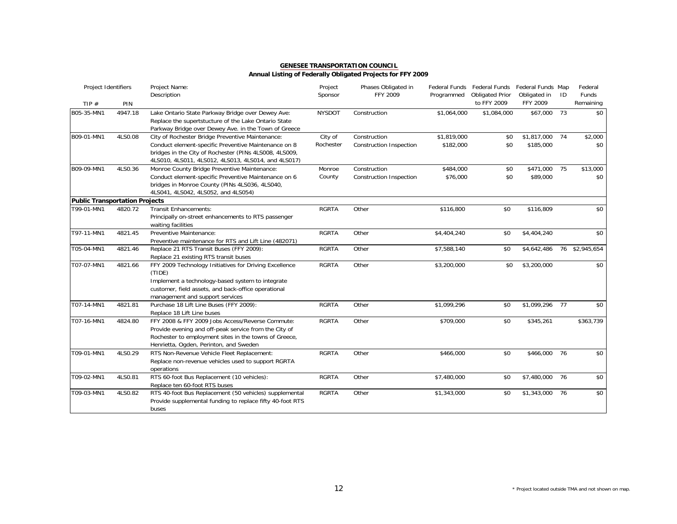| Project Identifiers                   |         | Project Name:<br>Description                                                                                                                                                                                              | Project<br>Sponsor   | Phases Obligated in<br>FFY 2009                | Programmed               | Federal Funds Federal Funds Federal Funds Map<br><b>Obligated Prior</b> | Obligated in                | ID | Federal<br>Funds |
|---------------------------------------|---------|---------------------------------------------------------------------------------------------------------------------------------------------------------------------------------------------------------------------------|----------------------|------------------------------------------------|--------------------------|-------------------------------------------------------------------------|-----------------------------|----|------------------|
| TIP $#$                               | PIN     |                                                                                                                                                                                                                           |                      |                                                |                          | to FFY 2009                                                             | FFY 2009                    |    | Remaining        |
| B05-35-MN1                            | 4947.18 | Lake Ontario State Parkway Bridge over Dewey Ave:<br>Replace the supertstucture of the Lake Ontario State<br>Parkway Bridge over Dewey Ave. in the Town of Greece                                                         | <b>NYSDOT</b>        | Construction                                   | \$1,064,000              | \$1,084,000                                                             | \$67,000                    | 73 | \$0              |
| B09-01-MN1                            | 4LS0.08 | City of Rochester Bridge Preventive Maintenance:<br>Conduct element-specific Preventive Maintenance on 8<br>bridges in the City of Rochester (PINs 4LS008, 4LS009,<br>4LS010, 4LS011, 4LS012, 4LS013, 4LS014, and 4LS017) | City of<br>Rochester | Construction<br><b>Construction Inspection</b> | \$1,819,000<br>\$182,000 | \$0<br>\$0                                                              | \$1,817,000 74<br>\$185,000 |    | \$2,000<br>\$0   |
| B09-09-MN1                            | 4LS0.36 | Monroe County Bridge Preventive Maintenance:<br>Conduct element-specific Preventive Maintenance on 6<br>bridges in Monroe County (PINs 4LS036, 4LS040,<br>4LS041, 4LS042, 4LS052, and 4LS054)                             | Monroe<br>County     | Construction<br><b>Construction Inspection</b> | \$484,000<br>\$76,000    | \$0<br>\$0                                                              | \$471,000 75<br>\$89,000    |    | \$13,000<br>\$0  |
| <b>Public Transportation Projects</b> |         |                                                                                                                                                                                                                           |                      |                                                |                          |                                                                         |                             |    |                  |
| T99-01-MN1                            | 4820.72 | <b>Transit Enhancements:</b><br>Principally on-street enhancements to RTS passenger<br>waiting facilities                                                                                                                 | <b>RGRTA</b>         | Other                                          | \$116,800                | \$0                                                                     | \$116.809                   |    | \$0              |
| T97-11-MN1                            | 4821.45 | Preventive Maintenance:<br>Preventive maintenance for RTS and Lift Line (482071)                                                                                                                                          | <b>RGRTA</b>         | Other                                          | \$4,404,240              | \$0                                                                     | \$4,404,240                 |    | \$0              |
| T05-04-MN1                            | 4821.46 | Replace 21 RTS Transit Buses (FFY 2009):<br>Replace 21 existing RTS transit buses                                                                                                                                         | <b>RGRTA</b>         | Other                                          | \$7,588,140              | \$0                                                                     | \$4,642,486                 |    | 76 \$2,945,654   |
| T07-07-MN1                            | 4821.66 | FFY 2009 Technology Initiatives for Driving Excellence<br>(TIDE)<br>Implement a technology-based system to integrate<br>customer, field assets, and back-office operational<br>management and support services            | <b>RGRTA</b>         | Other                                          | \$3,200,000              | \$0                                                                     | \$3,200,000                 |    | \$0              |
| T07-14-MN1                            | 4821.81 | Purchase 18 Lift Line Buses (FFY 2009):<br>Replace 18 Lift Line buses                                                                                                                                                     | <b>RGRTA</b>         | Other                                          | \$1,099,296              | \$0                                                                     | \$1,099,296 77              |    | \$0              |
| T07-16-MN1                            | 4824.80 | FFY 2008 & FFY 2009 Jobs Access/Reverse Commute:<br>Provide evening and off-peak service from the City of<br>Rochester to employment sites in the towns of Greece,<br>Henrietta, Ogden, Perinton, and Sweden              | <b>RGRTA</b>         | Other                                          | \$709,000                | \$0                                                                     | \$345,261                   |    | \$363,739        |
| T09-01-MN1                            | 4LS0.29 | RTS Non-Revenue Vehicle Fleet Replacement:<br>Replace non-revenue vehicles used to support RGRTA<br>operations                                                                                                            | <b>RGRTA</b>         | Other                                          | \$466,000                | \$0                                                                     | \$466,000 76                |    | \$0              |
| T09-02-MN1                            | 4LS0.81 | RTS 60-foot Bus Replacement (10 vehicles):<br>Replace ten 60-foot RTS buses                                                                                                                                               | <b>RGRTA</b>         | Other                                          | \$7,480,000              | \$0                                                                     | \$7,480,000                 | 76 | \$0              |
| T09-03-MN1                            | 4LS0.82 | RTS 40-foot Bus Replacement (50 vehicles) supplemental<br>Provide supplemental funding to replace fifty 40-foot RTS<br>buses                                                                                              | <b>RGRTA</b>         | Other                                          | \$1,343,000              | \$0                                                                     | \$1,343,000 76              |    | \$0              |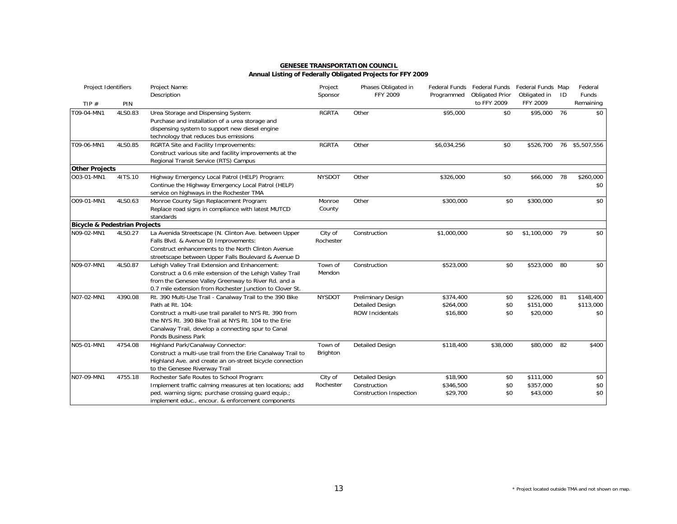| Project Identifiers                      |         | Project Name:<br>Description                                                                                                                                                                                                                                                   | Project<br>Sponsor   | Phases Obligated in<br><b>FFY 2009</b>                                 | Programmed                         | Federal Funds Federal Funds<br><b>Obligated Prior</b> | Federal Funds Map<br>Obligated in     | ID | Federal<br>Funds              |
|------------------------------------------|---------|--------------------------------------------------------------------------------------------------------------------------------------------------------------------------------------------------------------------------------------------------------------------------------|----------------------|------------------------------------------------------------------------|------------------------------------|-------------------------------------------------------|---------------------------------------|----|-------------------------------|
| TIP $#$                                  | PIN     |                                                                                                                                                                                                                                                                                |                      |                                                                        |                                    | to FFY 2009                                           | <b>FFY 2009</b>                       |    | Remaining                     |
| T09-04-MN1                               | 4LS0.83 | Urea Storage and Dispensing System:<br>Purchase and installation of a urea storage and<br>dispensing system to support new diesel engine<br>technology that reduces bus emissions                                                                                              | <b>RGRTA</b>         | Other                                                                  | \$95,000                           | \$0                                                   | \$95,000                              | 76 | \$0                           |
| T09-06-MN1                               | 4LS0.85 | RGRTA Site and Facility Improvements:<br>Construct various site and facility improvements at the<br>Regional Transit Service (RTS) Campus                                                                                                                                      | <b>RGRTA</b>         | Other                                                                  | \$6,034,256                        | \$0                                                   | \$526,700                             |    | 76 \$5,507,556                |
| <b>Other Projects</b>                    |         |                                                                                                                                                                                                                                                                                |                      |                                                                        |                                    |                                                       |                                       |    |                               |
| O03-01-MN1                               | 41TS.10 | Highway Emergency Local Patrol (HELP) Program:<br>Continue the Highway Emergency Local Patrol (HELP)<br>service on highways in the Rochester TMA                                                                                                                               | <b>NYSDOT</b>        | Other                                                                  | \$326,000                          | \$0                                                   | \$66,000                              | 78 | \$260,000<br>\$0              |
| O09-01-MN1                               | 4LS0.63 | Monroe County Sign Replacement Program:<br>Replace road signs in compliance with latest MUTCD<br>standards                                                                                                                                                                     | Monroe<br>County     | Other                                                                  | \$300,000                          | \$0                                                   | \$300,000                             |    | \$0                           |
| <b>Bicycle &amp; Pedestrian Projects</b> |         |                                                                                                                                                                                                                                                                                |                      |                                                                        |                                    |                                                       |                                       |    |                               |
| N09-02-MN1                               | 4LS0.27 | La Avenida Streetscape (N. Clinton Ave. between Upper<br>Falls Blvd. & Avenue D) Improvements:<br>Construct enhancements to the North Clinton Avenue<br>streetscape between Upper Falls Boulevard & Avenue D                                                                   | City of<br>Rochester | Construction                                                           | \$1,000,000                        | \$0                                                   | \$1,100,000                           | 79 | \$0                           |
| N09-07-MN1                               | 4LS0.87 | Lehigh Valley Trail Extension and Enhancement:<br>Construct a 0.6 mile extension of the Lehigh Valley Trail<br>from the Genesee Valley Greenway to River Rd. and a<br>0.7 mile extension from Rochester Junction to Clover St.                                                 | Town of<br>Mendon    | Construction                                                           | \$523,000                          | \$0                                                   | \$523,000                             | 80 | \$0                           |
| N07-02-MN1                               | 4390.08 | Rt. 390 Multi-Use Trail - Canalway Trail to the 390 Bike<br>Path at Rt. 104:<br>Construct a multi-use trail parallel to NYS Rt. 390 from<br>the NYS Rt. 390 Bike Trail at NYS Rt. 104 to the Erie<br>Canalway Trail, develop a connecting spur to Canal<br>Ponds Business Park | <b>NYSDOT</b>        | Preliminary Design<br><b>Detailed Design</b><br><b>ROW Incidentals</b> | \$374,400<br>\$264,000<br>\$16,800 | \$0<br>\$0<br>\$0                                     | \$226,000 81<br>\$151,000<br>\$20,000 |    | \$148,400<br>\$113,000<br>\$0 |
| N05-01-MN1                               | 4754.08 | Highland Park/Canalway Connector:<br>Construct a multi-use trail from the Erie Canalway Trail to<br>Highland Ave. and create an on-street bicycle connection<br>to the Genesee Riverway Trail                                                                                  | Town of<br>Brighton  | <b>Detailed Design</b>                                                 | \$118,400                          | \$38,000                                              | \$80,000                              | 82 | \$400                         |
| N07-09-MN1                               | 4755.18 | Rochester Safe Routes to School Program:<br>Implement traffic calming measures at ten locations; add<br>ped. warning signs; purchase crossing guard equip.;<br>implement educ., encour. & enforcement components                                                               | City of<br>Rochester | <b>Detailed Design</b><br>Construction<br>Construction Inspection      | \$18,900<br>\$346,500<br>\$29,700  | \$0<br>\$0<br>\$0                                     | \$111,000<br>\$357,000<br>\$43,000    |    | \$0<br>\$0<br>\$0             |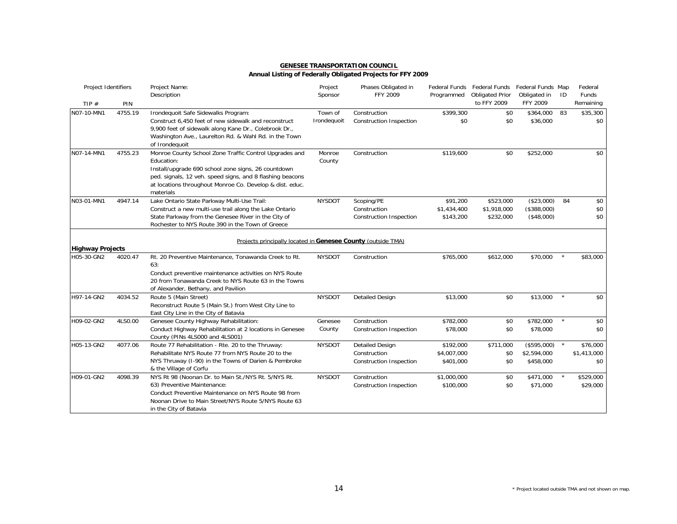| Project Identifiers     |         | Project Name:<br>Description                                                                                                                                                                                                                                      | Project<br>Sponsor     | Phases Obligated in<br><b>FFY 2009</b>                            | Programmed                            | Federal Funds Federal Funds Federal Funds Map<br><b>Obligated Prior</b> | Obligated in                            | ID           | Federal<br>Funds               |
|-------------------------|---------|-------------------------------------------------------------------------------------------------------------------------------------------------------------------------------------------------------------------------------------------------------------------|------------------------|-------------------------------------------------------------------|---------------------------------------|-------------------------------------------------------------------------|-----------------------------------------|--------------|--------------------------------|
| TIP $#$                 | PIN     |                                                                                                                                                                                                                                                                   |                        |                                                                   |                                       | to FFY 2009                                                             | FFY 2009                                |              | Remaining                      |
| N07-10-MN1              | 4755.19 | Irondequoit Safe Sidewalks Program:<br>Construct 6,450 feet of new sidewalk and reconstruct<br>9,900 feet of sidewalk along Kane Dr., Colebrook Dr.,<br>Washington Ave., Laurelton Rd. & Wahl Rd. in the Town<br>of Irondequoit                                   | Town of<br>Irondequoit | Construction<br><b>Construction Inspection</b>                    | \$399,300<br>\$0                      | \$0<br>\$0                                                              | \$364,000<br>\$36,000                   | 83           | \$35,300<br>\$0                |
| N07-14-MN1              | 4755.23 | Monroe County School Zone Traffic Control Upgrades and<br>Education:<br>Install/upgrade 690 school zone signs, 26 countdown<br>ped. signals, 12 veh. speed signs, and 8 flashing beacons<br>at locations throughout Monroe Co. Develop & dist. educ.<br>materials | Monroe<br>County       | Construction                                                      | \$119,600                             | \$0                                                                     | \$252,000                               |              | \$0                            |
| N03-01-MN1              | 4947.14 | Lake Ontario State Parkway Multi-Use Trail:<br>Construct a new multi-use trail along the Lake Ontario<br>State Parkway from the Genesee River in the City of<br>Rochester to NYS Route 390 in the Town of Greece                                                  | <b>NYSDOT</b>          | Scoping/PE<br>Construction<br>Construction Inspection             | \$91,200<br>\$1,434,400<br>\$143,200  | \$523,000<br>\$1,918,000<br>\$232,000                                   | (\$23,000)<br>(\$388,000)<br>(\$48,000) | 84           | \$0<br>\$0<br>\$0              |
| <b>Highway Projects</b> |         | Projects principally located in Genesee County (outside TMA)                                                                                                                                                                                                      |                        |                                                                   |                                       |                                                                         |                                         |              |                                |
| H05-30-GN2              | 4020.47 | Rt. 20 Preventive Maintenance, Tonawanda Creek to Rt.<br>63:<br>Conduct preventive maintenance activities on NYS Route<br>20 from Tonawanda Creek to NYS Route 63 in the Towns<br>of Alexander, Bethany, and Pavilion                                             | <b>NYSDOT</b>          | Construction                                                      | \$765,000                             | \$612,000                                                               | \$70,000                                | $\pmb{\ast}$ | \$83,000                       |
| H97-14-GN2              | 4034.52 | Route 5 (Main Street)<br>Reconstruct Route 5 (Main St.) from West City Line to<br>East City Line in the City of Batavia                                                                                                                                           | <b>NYSDOT</b>          | <b>Detailed Design</b>                                            | \$13,000                              | \$0                                                                     | \$13,000                                |              | \$0                            |
| H09-02-GN2              | 4LS0.00 | Genesee County Highway Rehabilitation:<br>Conduct Highway Rehabilitation at 2 locations in Genesee<br>County (PINs 4LS000 and 4LS001)                                                                                                                             | Genesee<br>County      | Construction<br>Construction Inspection                           | \$782,000<br>\$78,000                 | \$0<br>\$0                                                              | \$782,000<br>\$78,000                   |              | \$0<br>\$0                     |
| H05-13-GN2              | 4077.06 | Route 77 Rehabilitation - Rte. 20 to the Thruway:<br>Rehabilitate NYS Route 77 from NYS Route 20 to the<br>NYS Thruway (I-90) in the Towns of Darien & Pembroke<br>& the Village of Corfu                                                                         | <b>NYSDOT</b>          | <b>Detailed Design</b><br>Construction<br>Construction Inspection | \$192,000<br>\$4,007,000<br>\$401,000 | \$711,000<br>\$0<br>\$0                                                 | (\$595,000)<br>\$2,594,000<br>\$458,000 |              | \$76,000<br>\$1,413,000<br>\$0 |
| H09-01-GN2              | 4098.39 | NYS Rt 98 (Noonan Dr. to Main St./NYS Rt. 5/NYS Rt.<br>63) Preventive Maintenance:<br>Conduct Preventive Maintenance on NYS Route 98 from<br>Noonan Drive to Main Street/NYS Route 5/NYS Route 63<br>in the City of Batavia                                       | <b>NYSDOT</b>          | Construction<br><b>Construction Inspection</b>                    | \$1,000,000<br>\$100,000              | \$0<br>\$0                                                              | \$471,000<br>\$71,000                   |              | \$529,000<br>\$29,000          |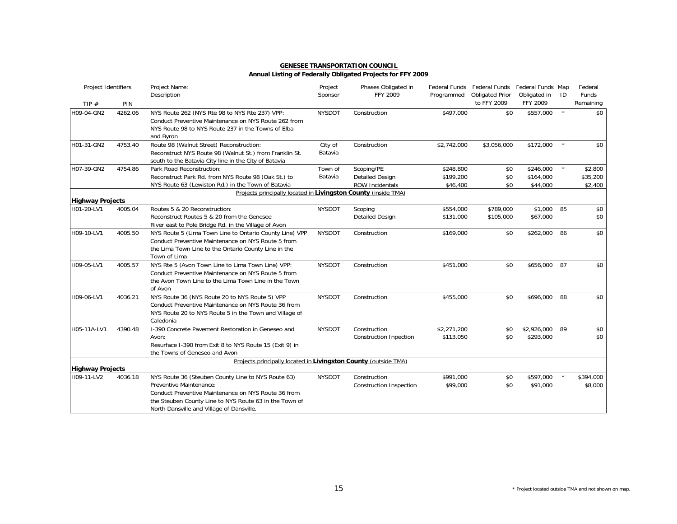### **Annual Listing of Federally Obligated Projects for FFY 2009**

| Project Identifiers     |         | Project Name:<br>Description                                                                                                                                                                                                                | Project<br>Sponsor | Phases Obligated in<br><b>FFY 2009</b>                         | Programmed                         | Federal Funds Federal Funds Federal Funds Map<br><b>Obligated Prior</b> | Obligated in                       | ID      | Federal<br>Funds               |
|-------------------------|---------|---------------------------------------------------------------------------------------------------------------------------------------------------------------------------------------------------------------------------------------------|--------------------|----------------------------------------------------------------|------------------------------------|-------------------------------------------------------------------------|------------------------------------|---------|--------------------------------|
| TIP $#$                 | PIN     |                                                                                                                                                                                                                                             |                    |                                                                |                                    | to FFY 2009                                                             | FFY 2009                           |         | Remaining                      |
| H09-04-GN2              | 4262.06 | NYS Route 262 (NYS Rte 98 to NYS Rte 237) VPP:<br>Conduct Preventive Maintenance on NYS Route 262 from<br>NYS Route 98 to NYS Route 237 in the Towns of Elba<br>and Byron                                                                   | <b>NYSDOT</b>      | Construction                                                   | \$497,000                          | \$0                                                                     | \$557,000                          | $\star$ | \$0                            |
| H01-31-GN2              | 4753.40 | Route 98 (Walnut Street) Reconstruction:<br>Reconstruct NYS Route 98 (Walnut St.) from Franklin St.<br>south to the Batavia City line in the City of Batavia                                                                                | City of<br>Batavia | Construction                                                   | \$2,742,000                        | \$3,056,000                                                             | \$172,000                          |         | \$0                            |
| H07-39-GN2              | 4754.86 | Park Road Reconstruction:<br>Reconstruct Park Rd. from NYS Route 98 (Oak St.) to<br>NYS Route 63 (Lewiston Rd.) in the Town of Batavia                                                                                                      | Town of<br>Batavia | Scoping/PE<br><b>Detailed Design</b><br><b>ROW Incidentals</b> | \$248,800<br>\$199,200<br>\$46,400 | \$0<br>\$0<br>\$0                                                       | \$246,000<br>\$164,000<br>\$44,000 | $\star$ | \$2,800<br>\$35,200<br>\$2,400 |
|                         |         | Projects principally located in Livingston County (inside TMA)                                                                                                                                                                              |                    |                                                                |                                    |                                                                         |                                    |         |                                |
| <b>Highway Projects</b> |         |                                                                                                                                                                                                                                             |                    |                                                                |                                    |                                                                         |                                    |         |                                |
| H01-20-LV1              | 4005.04 | Routes 5 & 20 Reconstruction:<br>Reconstruct Routes 5 & 20 from the Genesee<br>River east to Pole Bridge Rd. in the Village of Avon                                                                                                         | <b>NYSDOT</b>      | Scoping<br><b>Detailed Design</b>                              | \$554,000<br>\$131,000             | \$789,000<br>\$105,000                                                  | \$1,000 85<br>\$67,000             |         | \$0<br>\$0                     |
| H09-10-LV1              | 4005.50 | NYS Route 5 (Lima Town Line to Ontario County Line) VPP<br>Conduct Preventive Maintenance on NYS Route 5 from<br>the Lima Town Line to the Ontario County Line in the<br>Town of Lima                                                       | <b>NYSDOT</b>      | Construction                                                   | \$169,000                          | \$0                                                                     | \$262,000                          | 86      | \$0                            |
| H09-05-LV1              | 4005.57 | NYS Rte 5 (Avon Town Line to Lima Town Line) VPP:<br>Conduct Preventive Maintenance on NYS Route 5 from<br>the Avon Town Line to the Lima Town Line in the Town<br>of Avon                                                                  | <b>NYSDOT</b>      | Construction                                                   | \$451,000                          | \$0                                                                     | \$656,000 87                       |         | \$0                            |
| H09-06-LV1              | 4036.21 | NYS Route 36 (NYS Route 20 to NYS Route 5) VPP<br>Conduct Preventive Maintenance on NYS Route 36 from<br>NYS Route 20 to NYS Route 5 in the Town and Village of<br>Caledonia                                                                | <b>NYSDOT</b>      | Construction                                                   | \$455,000                          | \$0                                                                     | \$696,000                          | 88      | \$0                            |
| H05-11A-LV1             | 4390.48 | 1-390 Concrete Pavement Restoration in Geneseo and<br>Avon:<br>Resurface I-390 from Exit 8 to NYS Route 15 (Exit 9) in<br>the Towns of Geneseo and Avon                                                                                     | <b>NYSDOT</b>      | Construction<br><b>Construction Inpection</b>                  | \$2,271,200<br>\$113,050           | \$0<br>\$0                                                              | \$2,926,000 89<br>\$293,000        |         | \$0<br>\$0                     |
|                         |         | Projects principally located in Livingston County (outside TMA)                                                                                                                                                                             |                    |                                                                |                                    |                                                                         |                                    |         |                                |
| <b>Highway Projects</b> |         |                                                                                                                                                                                                                                             |                    |                                                                |                                    |                                                                         |                                    |         |                                |
| H09-11-LV2              | 4036.18 | NYS Route 36 (Steuben County Line to NYS Route 63)<br>Preventive Maintenance:<br>Conduct Preventive Maintenance on NYS Route 36 from<br>the Steuben County Line to NYS Route 63 in the Town of<br>North Dansville and Village of Dansville. | <b>NYSDOT</b>      | Construction<br><b>Construction Inspection</b>                 | \$991,000<br>\$99,000              | \$0<br>\$0                                                              | \$597,000<br>\$91,000              |         | \$394,000<br>\$8,000           |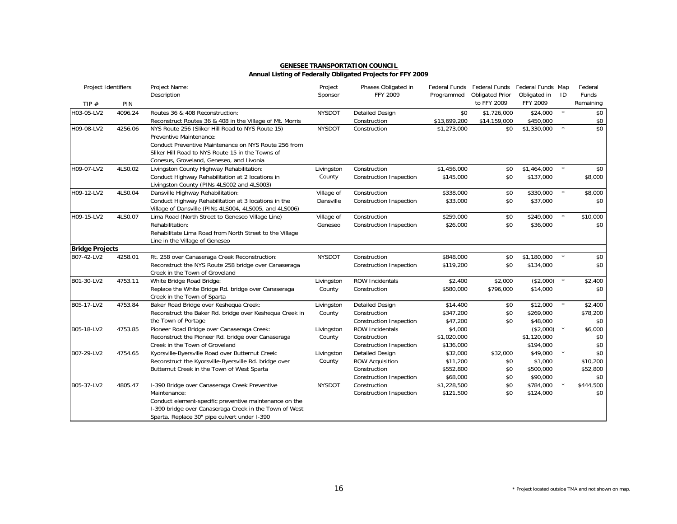| Project Identifiers    |         | Project Name:<br>Description                                                                                                                                                                                                        | Project<br>Sponsor      | Phases Obligated in<br>FFY 2009                                                                    | Programmed                                    | Federal Funds Federal Funds<br><b>Obligated Prior</b> | Federal Funds Map<br>Obligated in            | ID      | Federal<br><b>Funds</b>                        |
|------------------------|---------|-------------------------------------------------------------------------------------------------------------------------------------------------------------------------------------------------------------------------------------|-------------------------|----------------------------------------------------------------------------------------------------|-----------------------------------------------|-------------------------------------------------------|----------------------------------------------|---------|------------------------------------------------|
| TIP $#$                | PIN     |                                                                                                                                                                                                                                     |                         |                                                                                                    |                                               | to FFY 2009                                           | FFY 2009                                     |         | Remaining                                      |
| H03-05-LV2             | 4096.24 | Routes 36 & 408 Reconstruction:<br>Reconstruct Routes 36 & 408 in the Village of Mt. Morris                                                                                                                                         | <b>NYSDOT</b>           | <b>Detailed Design</b><br>Construction                                                             | \$0<br>\$13,699,200                           | \$1,726,000<br>\$14,159,000                           | \$24,000<br>\$450,000                        | $\star$ | \$0<br>\$0                                     |
| H09-08-LV2             | 4256.06 | NYS Route 256 (Sliker Hill Road to NYS Route 15)<br>Preventive Maintenance:<br>Conduct Preventive Maintenance on NYS Route 256 from<br>Sliker Hill Road to NYS Route 15 in the Towns of<br>Conesus, Groveland, Geneseo, and Livonia | <b>NYSDOT</b>           | Construction                                                                                       | \$1,273,000                                   | \$0                                                   | \$1,330,000                                  | $\star$ | $\overline{50}$                                |
| H09-07-LV2             | 4LS0.02 | Livingston County Highway Rehabilitation:<br>Conduct Highway Rehabilitation at 2 locations in<br>Livingston County (PINs 4LS002 and 4LS003)                                                                                         | Livingston<br>County    | Construction<br>Construction Inspection                                                            | \$1,456,000<br>\$145,000                      | \$0<br>\$0                                            | \$1,464,000<br>\$137,000                     |         | \$0<br>\$8,000                                 |
| H09-12-LV2             | 4LS0.04 | Dansville Highway Rehabilitation:<br>Conduct Highway Rehabilitation at 3 locations in the<br>Village of Dansville (PINs 4LS004, 4LS005, and 4LS006)                                                                                 | Village of<br>Dansville | Construction<br>Construction Inspection                                                            | \$338,000<br>\$33,000                         | \$0<br>\$0                                            | \$330,000<br>\$37,000                        |         | \$8,000<br>\$0                                 |
| H09-15-LV2             | 4LS0.07 | Lima Road (North Street to Geneseo Village Line)<br>Rehabilitation:<br>Rehabilitate Lima Road from North Street to the Village<br>Line in the Village of Geneseo                                                                    | Village of<br>Geneseo   | Construction<br><b>Construction Inspection</b>                                                     | \$259,000<br>\$26,000                         | \$0<br>\$0                                            | \$249,000<br>\$36,000                        | $\star$ | \$10,000<br>\$0                                |
| <b>Bridge Projects</b> |         |                                                                                                                                                                                                                                     |                         |                                                                                                    |                                               |                                                       |                                              |         |                                                |
| B07-42-LV2             | 4258.01 | Rt. 258 over Canaseraga Creek Reconstruction:<br>Reconstruct the NYS Route 258 bridge over Canaseraga<br>Creek in the Town of Groveland                                                                                             | <b>NYSDOT</b>           | Construction<br>Construction Inspection                                                            | \$848,000<br>\$119,200                        | \$0<br>\$0                                            | \$1,180,000<br>\$134,000                     |         | \$0<br>\$0                                     |
| B01-30-LV2             | 4753.11 | White Bridge Road Bridge:<br>Replace the White Bridge Rd. bridge over Canaseraga<br>Creek in the Town of Sparta                                                                                                                     | Livingston<br>County    | <b>ROW Incidentals</b><br>Construction                                                             | \$2,400<br>\$580,000                          | \$2,000<br>\$796,000                                  | (\$2,000)<br>\$14,000                        | $\star$ | \$2,400<br>\$0                                 |
| B05-17-LV2             | 4753.84 | Baker Road Bridge over Keshequa Creek:<br>Reconstruct the Baker Rd. bridge over Keshequa Creek in<br>the Town of Portage                                                                                                            | Livingston<br>County    | <b>Detailed Design</b><br>Construction<br><b>Construction Inspection</b>                           | \$14,400<br>\$347,200<br>\$47,200             | \$0<br>\$0<br>\$0                                     | \$12,000<br>\$269,000<br>\$48,000            | $\star$ | \$2,400<br>\$78,200<br>\$0                     |
| B05-18-LV2             | 4753.85 | Pioneer Road Bridge over Canaseraga Creek:<br>Reconstruct the Pioneer Rd. bridge over Canaseraga<br>Creek in the Town of Groveland                                                                                                  | Livingston<br>County    | <b>ROW Incidentals</b><br>Construction<br>Construction Inspection                                  | \$4,000<br>\$1,020,000<br>\$136,000           |                                                       | (\$2,000)<br>\$1,120,000<br>\$194,000        |         | \$6,000<br>\$0<br>\$0                          |
| B07-29-LV2             | 4754.65 | Kyorsville-Byersville Road over Butternut Creek:<br>Reconstruct the Kyorsville-Byersville Rd. bridge over<br>Butternut Creek in the Town of West Sparta                                                                             | Livingston<br>County    | <b>Detailed Design</b><br><b>ROW Acquisition</b><br>Construction<br><b>Construction Inspection</b> | \$32,000<br>\$11,200<br>\$552,800<br>\$68,000 | \$32,000<br>\$0<br>\$0<br>\$0                         | \$49,000<br>\$1,000<br>\$500,000<br>\$90,000 |         | $\overline{50}$<br>\$10,200<br>\$52,800<br>\$0 |
| B05-37-LV2             | 4805.47 | I-390 Bridge over Canaseraga Creek Preventive<br>Maintenance:<br>Conduct element-specific preventive maintenance on the<br>I-390 bridge over Canaseraga Creek in the Town of West<br>Sparta. Replace 30" pipe culvert under I-390   | <b>NYSDOT</b>           | Construction<br>Construction Inspection                                                            | \$1,228,500<br>\$121,500                      | \$0<br>\$0                                            | \$784,000<br>\$124,000                       |         | \$444,500<br>\$0                               |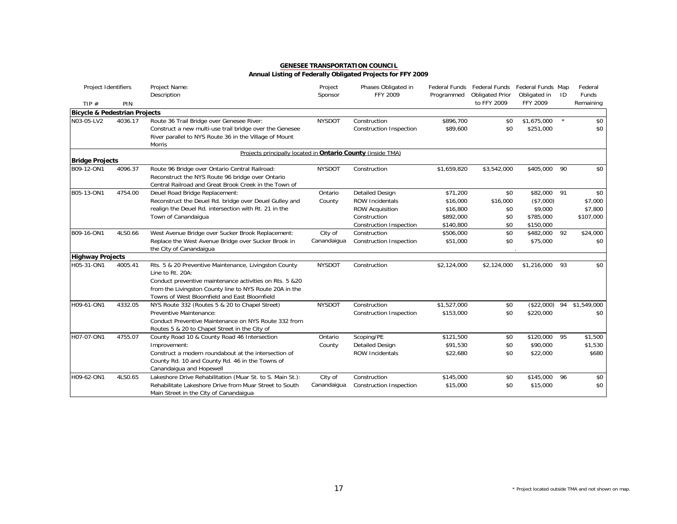| Project Identifiers                      |         | Project Name:<br>Description                                                                                                                                       | Project<br>Sponsor | Phases Obligated in<br>FFY 2009 | Programmed  | Federal Funds Federal Funds<br><b>Obligated Prior</b> | Federal Funds Map<br>Obligated in | ID | Federal<br><b>Funds</b>    |
|------------------------------------------|---------|--------------------------------------------------------------------------------------------------------------------------------------------------------------------|--------------------|---------------------------------|-------------|-------------------------------------------------------|-----------------------------------|----|----------------------------|
| TIP $#$                                  | PIN     |                                                                                                                                                                    |                    |                                 |             | to FFY 2009                                           | FFY 2009                          |    | Remaining                  |
| <b>Bicycle &amp; Pedestrian Projects</b> |         |                                                                                                                                                                    |                    |                                 |             |                                                       |                                   |    |                            |
| N03-05-LV2                               | 4036.17 | Route 36 Trail Bridge over Genesee River:                                                                                                                          | <b>NYSDOT</b>      | Construction                    | \$896,700   | \$0                                                   | \$1,675,000                       |    | \$0                        |
|                                          |         | Construct a new multi-use trail bridge over the Genesee                                                                                                            |                    | Construction Inspection         | \$89,600    | \$0                                                   | \$251,000                         |    | \$0                        |
|                                          |         | River parallel to NYS Route 36 in the Village of Mount<br><b>Morris</b>                                                                                            |                    |                                 |             |                                                       |                                   |    |                            |
|                                          |         | Projects principally located in Ontario County (inside TMA)                                                                                                        |                    |                                 |             |                                                       |                                   |    |                            |
| <b>Bridge Projects</b>                   |         |                                                                                                                                                                    |                    |                                 |             |                                                       |                                   |    |                            |
| B09-12-ON1                               | 4096.37 | Route 96 Bridge over Ontario Central Railroad:<br>Reconstruct the NYS Route 96 bridge over Ontario<br>Central Railroad and Great Brook Creek in the Town of        | <b>NYSDOT</b>      | Construction                    | \$1,659,820 | \$3,542,000                                           | \$405,000                         | 90 | \$0                        |
| B05-13-ON1                               | 4754.00 | Deuel Road Bridge Replacement:                                                                                                                                     | Ontario            | <b>Detailed Design</b>          | \$71,200    | \$0                                                   | \$82,000 91                       |    | \$0                        |
|                                          |         | Reconstruct the Deuel Rd. bridge over Deuel Gulley and                                                                                                             | County             | <b>ROW Incidentals</b>          | \$16,000    | \$16,000                                              | (\$7,000)                         |    | \$7,000                    |
|                                          |         | realign the Deuel Rd. intersection with Rt. 21 in the                                                                                                              |                    | <b>ROW Acquisition</b>          | \$16,800    | \$0                                                   | \$9,000                           |    | \$7,800                    |
|                                          |         | Town of Canandaigua                                                                                                                                                |                    | Construction                    | \$892,000   | \$0                                                   | \$785,000                         |    | \$107,000                  |
|                                          |         |                                                                                                                                                                    |                    | <b>Construction Inspection</b>  | \$140,800   | \$0                                                   | \$150,000                         |    |                            |
| B09-16-ON1                               | 4LS0.66 | West Avenue Bridge over Sucker Brook Replacement:                                                                                                                  | City of            | Construction                    | \$506,000   | \$0                                                   | \$482,000 92                      |    | \$24,000                   |
|                                          |         | Replace the West Avenue Bridge over Sucker Brook in<br>the City of Canandaigua                                                                                     | Canandaigua        | <b>Construction Inspection</b>  | \$51,000    | \$0                                                   | \$75,000                          |    | \$0                        |
| <b>Highway Projects</b>                  |         |                                                                                                                                                                    |                    |                                 |             |                                                       |                                   |    |                            |
| H05-31-ON1                               | 4005.41 | Rts. 5 & 20 Preventive Maintenance, Livingston County<br>Line to Rt. 20A:                                                                                          | <b>NYSDOT</b>      | Construction                    | \$2,124,000 | \$2,124,000                                           | \$1,216,000 93                    |    | \$0                        |
|                                          |         | Conduct preventive maintenance activities on Rts. 5 &20<br>from the Livingston County line to NYS Route 20A in the<br>Towns of West Bloomfield and East Bloomfield |                    |                                 |             |                                                       |                                   |    |                            |
| H09-61-ON1                               | 4332.05 | NYS Route 332 (Routes 5 & 20 to Chapel Street)                                                                                                                     | <b>NYSDOT</b>      | Construction                    | \$1,527,000 | \$0                                                   |                                   |    | $($22,000)$ 94 \$1,549,000 |
|                                          |         | Preventive Maintenance:                                                                                                                                            |                    | Construction Inspection         | \$153,000   | \$0                                                   | \$220,000                         |    | \$0                        |
|                                          |         | Conduct Preventive Maintenance on NYS Route 332 from                                                                                                               |                    |                                 |             |                                                       |                                   |    |                            |
|                                          |         | Routes 5 & 20 to Chapel Street in the City of                                                                                                                      |                    |                                 |             |                                                       |                                   |    |                            |
| H07-07-ON1                               | 4755.07 | County Road 10 & County Road 46 Intersection                                                                                                                       | Ontario            | Scoping/PE                      | \$121,500   | \$0                                                   | \$120,000                         | 95 | \$1,500                    |
|                                          |         | Improvement:                                                                                                                                                       | County             | <b>Detailed Design</b>          | \$91,530    | \$0                                                   | \$90,000                          |    | \$1,530                    |
|                                          |         | Construct a modern roundabout at the intersection of                                                                                                               |                    | <b>ROW Incidentals</b>          | \$22,680    | \$0                                                   | \$22,000                          |    | \$680                      |
|                                          |         | County Rd. 10 and County Rd. 46 in the Towns of                                                                                                                    |                    |                                 |             |                                                       |                                   |    |                            |
|                                          |         | Canandaigua and Hopewell                                                                                                                                           |                    |                                 |             |                                                       |                                   |    |                            |
| H09-62-ON1                               | 4LS0.65 | Lakeshore Drive Rehabilitation (Muar St. to S. Main St.):                                                                                                          | City of            | Construction                    | \$145,000   | \$0                                                   | \$145,000 96                      |    | \$0                        |
|                                          |         | Rehabilitate Lakeshore Drive from Muar Street to South<br>Main Street in the City of Canandaigua                                                                   | Canandaigua        | <b>Construction Inspection</b>  | \$15,000    | \$0                                                   | \$15,000                          |    | \$0                        |

#### \* Project located outside TMA and not shown on map.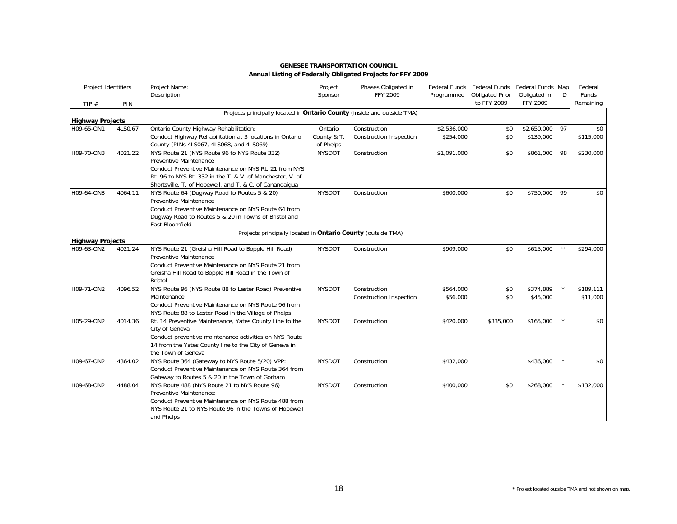### **Annual Listing of Federally Obligated Projects for FFY 2009**

| Project Identifiers     |         | Project Name:<br>Description                                                                   | Project<br>Sponsor | Phases Obligated in<br>FFY 2009 | Programmed  | Federal Funds Federal Funds Federal Funds Map<br><b>Obligated Prior</b> | Obligated in    | ID           | Federal<br><b>Funds</b> |
|-------------------------|---------|------------------------------------------------------------------------------------------------|--------------------|---------------------------------|-------------|-------------------------------------------------------------------------|-----------------|--------------|-------------------------|
| TIP $#$                 | PIN     |                                                                                                |                    |                                 |             | to FFY 2009                                                             | <b>FFY 2009</b> |              | Remaining               |
|                         |         | Projects principally located in Ontario County (inside and outside TMA)                        |                    |                                 |             |                                                                         |                 |              |                         |
| <b>Highway Projects</b> |         |                                                                                                |                    |                                 |             |                                                                         |                 |              |                         |
| H09-65-ON1              | 4LS0.67 | Ontario County Highway Rehabilitation:                                                         | Ontario            | Construction                    | \$2,536,000 | \$0                                                                     | \$2,650,000     | 97           | \$0                     |
|                         |         | Conduct Highway Rehabilitation at 3 locations in Ontario                                       | County & T.        | <b>Construction Inspection</b>  | \$254,000   | \$0                                                                     | \$139,000       |              | \$115,000               |
|                         |         | County (PINs 4LS067, 4LS068, and 4LS069)                                                       | of Phelps          |                                 |             |                                                                         |                 |              |                         |
| H09-70-ON3              | 4021.22 | NYS Route 21 (NYS Route 96 to NYS Route 332)                                                   | <b>NYSDOT</b>      | Construction                    | \$1,091,000 | \$0                                                                     | \$861,000       | 98           | \$230,000               |
|                         |         | Preventive Maintenance                                                                         |                    |                                 |             |                                                                         |                 |              |                         |
|                         |         | Conduct Preventive Maintenance on NYS Rt. 21 from NYS                                          |                    |                                 |             |                                                                         |                 |              |                         |
|                         |         | Rt. 96 to NYS Rt. 332 in the T. & V. of Manchester, V. of                                      |                    |                                 |             |                                                                         |                 |              |                         |
|                         |         | Shortsville, T. of Hopewell, and T. & C. of Canandaigua                                        |                    |                                 |             |                                                                         |                 |              |                         |
| H09-64-ON3              | 4064.11 | NYS Route 64 (Dugway Road to Routes 5 & 20)<br>Preventive Maintenance                          | <b>NYSDOT</b>      | Construction                    | \$600,000   | \$0                                                                     | \$750,000       | -99          | \$0                     |
|                         |         | Conduct Preventive Maintenance on NYS Route 64 from                                            |                    |                                 |             |                                                                         |                 |              |                         |
|                         |         | Dugway Road to Routes 5 & 20 in Towns of Bristol and                                           |                    |                                 |             |                                                                         |                 |              |                         |
|                         |         | East Bloomfield                                                                                |                    |                                 |             |                                                                         |                 |              |                         |
|                         |         | Projects principally located in Ontario County (outside TMA)                                   |                    |                                 |             |                                                                         |                 |              |                         |
| <b>Highway Projects</b> |         |                                                                                                |                    |                                 |             |                                                                         |                 |              |                         |
| H09-63-ON2              | 4021.24 | NYS Route 21 (Greisha Hill Road to Bopple Hill Road)                                           | <b>NYSDOT</b>      | Construction                    | \$909,000   | \$0                                                                     | \$615,000       | $\pmb{\ast}$ | \$294,000               |
|                         |         | Preventive Maintenance                                                                         |                    |                                 |             |                                                                         |                 |              |                         |
|                         |         | Conduct Preventive Maintenance on NYS Route 21 from                                            |                    |                                 |             |                                                                         |                 |              |                         |
|                         |         | Greisha Hill Road to Bopple Hill Road in the Town of                                           |                    |                                 |             |                                                                         |                 |              |                         |
|                         |         | <b>Bristol</b>                                                                                 |                    |                                 |             |                                                                         |                 |              |                         |
| H09-71-ON2              | 4096.52 | NYS Route 96 (NYS Route 88 to Lester Road) Preventive                                          | <b>NYSDOT</b>      | Construction                    | \$564,000   | \$0                                                                     | \$374,889       |              | \$189,111               |
|                         |         | Maintenance:                                                                                   |                    | <b>Construction Inspection</b>  | \$56,000    | \$0                                                                     | \$45,000        |              | \$11,000                |
|                         |         | Conduct Preventive Maintenance on NYS Route 96 from                                            |                    |                                 |             |                                                                         |                 |              |                         |
|                         |         | NYS Route 88 to Lester Road in the Village of Phelps                                           |                    |                                 |             |                                                                         |                 |              |                         |
| H05-29-ON2              | 4014.36 | Rt. 14 Preventive Maintenance, Yates County Line to the                                        | <b>NYSDOT</b>      | Construction                    | \$420,000   | \$335,000                                                               | \$165,000       |              | \$0                     |
|                         |         | City of Geneva                                                                                 |                    |                                 |             |                                                                         |                 |              |                         |
|                         |         | Conduct preventive maintenance activities on NYS Route                                         |                    |                                 |             |                                                                         |                 |              |                         |
|                         |         | 14 from the Yates County line to the City of Geneva in                                         |                    |                                 |             |                                                                         |                 |              |                         |
|                         |         | the Town of Geneva                                                                             |                    |                                 |             |                                                                         |                 |              |                         |
| H09-67-ON2              | 4364.02 | NYS Route 364 (Gateway to NYS Route 5/20) VPP:                                                 | <b>NYSDOT</b>      | Construction                    | \$432,000   |                                                                         | \$436,000       |              | \$0                     |
|                         |         | Conduct Preventive Maintenance on NYS Route 364 from                                           |                    |                                 |             |                                                                         |                 |              |                         |
| H09-68-ON2              | 4488.04 | Gateway to Routes 5 & 20 in the Town of Gorham<br>NYS Route 488 (NYS Route 21 to NYS Route 96) | <b>NYSDOT</b>      | Construction                    | \$400,000   | \$0                                                                     | \$268,000       | $\pmb{\ast}$ | \$132,000               |
|                         |         | Preventive Maintenance:                                                                        |                    |                                 |             |                                                                         |                 |              |                         |
|                         |         | Conduct Preventive Maintenance on NYS Route 488 from                                           |                    |                                 |             |                                                                         |                 |              |                         |
|                         |         | NYS Route 21 to NYS Route 96 in the Towns of Hopewell                                          |                    |                                 |             |                                                                         |                 |              |                         |
|                         |         | and Phelps                                                                                     |                    |                                 |             |                                                                         |                 |              |                         |
|                         |         |                                                                                                |                    |                                 |             |                                                                         |                 |              |                         |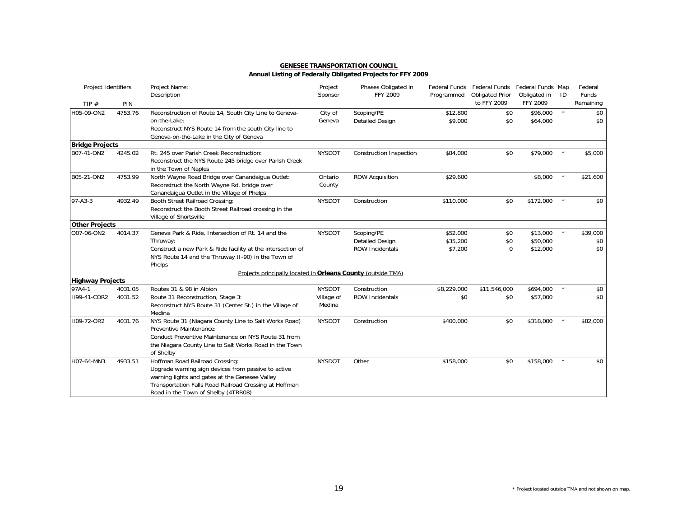| Project Identifiers               |         | Project Name:<br>Description                                                                                                                                                                                                              | Project<br>Sponsor   | Phases Obligated in<br><b>FFY 2009</b>                         | Programmed                      | Federal Funds Federal Funds<br><b>Obligated Prior</b> | Federal Funds Map<br>Obligated in | ID      | Federal<br>Funds       |
|-----------------------------------|---------|-------------------------------------------------------------------------------------------------------------------------------------------------------------------------------------------------------------------------------------------|----------------------|----------------------------------------------------------------|---------------------------------|-------------------------------------------------------|-----------------------------------|---------|------------------------|
| TIP $#$                           | PIN     |                                                                                                                                                                                                                                           |                      |                                                                |                                 | to FFY 2009                                           | FFY 2009                          |         | Remaining              |
| H05-09-ON2                        | 4753.76 | Reconstruction of Route 14, South City Line to Geneva-<br>on-the-Lake:<br>Reconstruct NYS Route 14 from the south City line to<br>Geneva-on-the-Lake in the City of Geneva                                                                | City of<br>Geneva    | Scoping/PE<br><b>Detailed Design</b>                           | \$12,800<br>\$9,000             | \$0<br>\$0                                            | \$96,000<br>\$64,000              | $\star$ | \$0<br>\$0             |
| <b>Bridge Projects</b>            |         |                                                                                                                                                                                                                                           |                      |                                                                |                                 |                                                       |                                   |         |                        |
| B07-41-ON2                        | 4245.02 | Rt. 245 over Parish Creek Reconstruction:<br>Reconstruct the NYS Route 245 bridge over Parish Creek<br>in the Town of Naples                                                                                                              | <b>NYSDOT</b>        | <b>Construction Inspection</b>                                 | \$84,000                        | \$0                                                   | \$79,000                          |         | \$5,000                |
| B05-21-ON2                        | 4753.99 | North Wayne Road Bridge over Canandaigua Outlet:<br>Reconstruct the North Wayne Rd. bridge over<br>Canandaigua Outlet in the Village of Phelps                                                                                            | Ontario<br>County    | <b>ROW Acquisition</b>                                         | \$29,600                        |                                                       | \$8,000                           | $\star$ | \$21,600               |
| $97 - A3 - 3$                     | 4932.49 | Booth Street Railroad Crossing:<br>Reconstruct the Booth Street Railroad crossing in the<br>Village of Shortsville                                                                                                                        | <b>NYSDOT</b>        | Construction                                                   | \$110,000                       | \$0                                                   | \$172,000                         |         | \$0                    |
| <b>Other Projects</b>             |         |                                                                                                                                                                                                                                           |                      |                                                                |                                 |                                                       |                                   |         |                        |
| O07-06-ON2                        | 4014.37 | Geneva Park & Ride, Intersection of Rt. 14 and the<br>Thruway:<br>Construct a new Park & Ride facility at the intersection of<br>NYS Route 14 and the Thruway (I-90) in the Town of<br>Phelps                                             | <b>NYSDOT</b>        | Scoping/PE<br><b>Detailed Design</b><br><b>ROW Incidentals</b> | \$52,000<br>\$35,200<br>\$7,200 | \$0<br>\$0<br>$\mathbf 0$                             | \$13,000<br>\$50,000<br>\$12,000  |         | \$39,000<br>\$0<br>\$0 |
|                                   |         | Projects principally located in Orleans County (outside TMA)                                                                                                                                                                              |                      |                                                                |                                 |                                                       |                                   |         |                        |
| <b>Highway Projects</b><br>97A4-1 | 4031.05 | Routes 31 & 98 in Albion                                                                                                                                                                                                                  | <b>NYSDOT</b>        |                                                                | \$8,229,000                     | \$11,546,000                                          | \$694,000                         | $\star$ |                        |
| H99-41-COR2                       | 4031.52 | Route 31 Reconstruction, Stage 3:<br>Reconstruct NYS Route 31 (Center St.) in the Village of<br>Medina                                                                                                                                    | Village of<br>Medina | Construction<br><b>ROW Incidentals</b>                         | \$0                             | \$0                                                   | \$57,000                          |         | \$0<br>\$0             |
| H09-72-OR2                        | 4031.76 | NYS Route 31 (Niagara County Line to Salt Works Road)<br>Preventive Maintenance:<br>Conduct Preventive Maintenance on NYS Route 31 from<br>the Niagara County Line to Salt Works Road in the Town<br>of Shelby                            | <b>NYSDOT</b>        | Construction                                                   | \$400,000                       | \$0                                                   | \$318,000                         |         | \$82,000               |
| H07-64-MN3                        | 4933.51 | Hoffman Road Railroad Crossing:<br>Upgrade warning sign devices from passive to active<br>warning lights and gates at the Genesee Valley<br>Transportation Falls Road Railroad Crossing at Hoffman<br>Road in the Town of Shelby (4TRR08) | <b>NYSDOT</b>        | Other                                                          | \$158,000                       | \$0                                                   | \$158,000                         |         | \$0                    |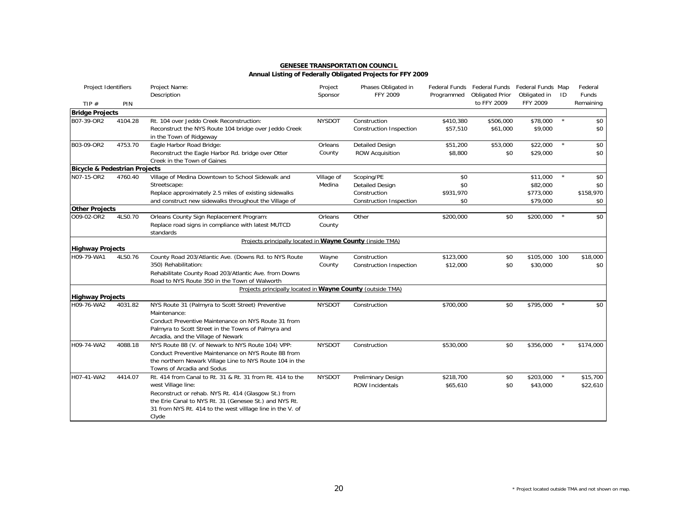| Project Identifiers                      |         | Project Name:<br>Description                                                                           | Project<br>Sponsor | Phases Obligated in<br>FFY 2009 | Programmed | Federal Funds Federal Funds Federal Funds Map<br><b>Obligated Prior</b> | Obligated in    | ID      | Federal<br>Funds |
|------------------------------------------|---------|--------------------------------------------------------------------------------------------------------|--------------------|---------------------------------|------------|-------------------------------------------------------------------------|-----------------|---------|------------------|
| TIP $#$                                  | PIN     |                                                                                                        |                    |                                 |            | to FFY 2009                                                             | <b>FFY 2009</b> |         | Remaining        |
| <b>Bridge Projects</b>                   |         |                                                                                                        |                    |                                 |            |                                                                         |                 |         |                  |
| B07-39-OR2                               | 4104.28 | Rt. 104 over Jeddo Creek Reconstruction:                                                               | <b>NYSDOT</b>      | Construction                    | \$410,380  | \$506,000                                                               | \$78,000        |         | \$0              |
|                                          |         | Reconstruct the NYS Route 104 bridge over Jeddo Creek                                                  |                    | <b>Construction Inspection</b>  | \$57,510   | \$61,000                                                                | \$9,000         |         | \$0              |
|                                          |         | in the Town of Ridgeway                                                                                |                    |                                 |            |                                                                         |                 |         |                  |
| B03-09-OR2                               | 4753.70 | Eagle Harbor Road Bridge:                                                                              | Orleans            | <b>Detailed Design</b>          | \$51,200   | \$53,000                                                                | \$22,000        | $\star$ | \$0              |
|                                          |         | Reconstruct the Eagle Harbor Rd. bridge over Otter                                                     | County             | <b>ROW Acquisition</b>          | \$8,800    | \$0                                                                     | \$29,000        |         | \$0              |
|                                          |         | Creek in the Town of Gaines                                                                            |                    |                                 |            |                                                                         |                 |         |                  |
| <b>Bicycle &amp; Pedestrian Projects</b> |         |                                                                                                        |                    |                                 |            |                                                                         |                 |         |                  |
| N07-15-OR2                               | 4760.40 | Village of Medina Downtown to School Sidewalk and                                                      | Village of         | Scoping/PE                      | \$0        |                                                                         | \$11,000        | $\star$ | \$0              |
|                                          |         | Streetscape:                                                                                           | Medina             | <b>Detailed Design</b>          | \$0        |                                                                         | \$82,000        |         | \$0              |
|                                          |         | Replace approximately 2.5 miles of existing sidewalks                                                  |                    | Construction                    | \$931,970  |                                                                         | \$773,000       |         | \$158,970        |
|                                          |         | and construct new sidewalks throughout the Village of                                                  |                    | Construction Inspection         | \$0        |                                                                         | \$79,000        |         | \$0              |
| <b>Other Projects</b>                    |         |                                                                                                        |                    |                                 |            |                                                                         |                 |         |                  |
| O09-02-OR2                               | 4LS0.70 | Orleans County Sign Replacement Program:                                                               | Orleans            | Other                           | \$200,000  | \$0                                                                     | \$200,000       |         | \$0              |
|                                          |         | Replace road signs in compliance with latest MUTCD<br>standards                                        | County             |                                 |            |                                                                         |                 |         |                  |
|                                          |         | Projects principally located in Wayne County (inside TMA)                                              |                    |                                 |            |                                                                         |                 |         |                  |
| <b>Highway Projects</b>                  |         |                                                                                                        |                    |                                 |            |                                                                         |                 |         |                  |
| H09-79-WA1                               | 4LS0.76 | County Road 203/Atlantic Ave. (Downs Rd. to NYS Route                                                  | Wayne              | Construction                    | \$123,000  | \$0                                                                     | \$105,000 100   |         | \$18,000         |
|                                          |         | 350) Rehabilitation:                                                                                   | County             | Construction Inspection         | \$12,000   | \$0                                                                     | \$30,000        |         | \$0              |
|                                          |         | Rehabilitate County Road 203/Atlantic Ave. from Downs<br>Road to NYS Route 350 in the Town of Walworth |                    |                                 |            |                                                                         |                 |         |                  |
|                                          |         | Projects principally located in Wayne County (outside TMA)                                             |                    |                                 |            |                                                                         |                 |         |                  |
| <b>Highway Projects</b>                  |         |                                                                                                        |                    |                                 |            |                                                                         |                 |         |                  |
| H09-76-WA2                               | 4031.82 | NYS Route 31 (Palmyra to Scott Street) Preventive                                                      | <b>NYSDOT</b>      | Construction                    | \$700,000  | \$0                                                                     | \$795,000       |         | \$0              |
|                                          |         | Maintenance:                                                                                           |                    |                                 |            |                                                                         |                 |         |                  |
|                                          |         | Conduct Preventive Maintenance on NYS Route 31 from                                                    |                    |                                 |            |                                                                         |                 |         |                  |
|                                          |         | Palmyra to Scott Street in the Towns of Palmyra and                                                    |                    |                                 |            |                                                                         |                 |         |                  |
|                                          |         | Arcadia, and the Village of Newark                                                                     |                    |                                 |            |                                                                         |                 |         |                  |
| H09-74-WA2                               | 4088.18 | NYS Route 88 (V. of Newark to NYS Route 104) VPP:                                                      | <b>NYSDOT</b>      | Construction                    | \$530,000  | \$0                                                                     | \$356,000       |         | \$174,000        |
|                                          |         | Conduct Preventive Maintenance on NYS Route 88 from                                                    |                    |                                 |            |                                                                         |                 |         |                  |
|                                          |         | the northern Newark Village Line to NYS Route 104 in the                                               |                    |                                 |            |                                                                         |                 |         |                  |
|                                          |         | Towns of Arcadia and Sodus                                                                             |                    |                                 |            |                                                                         |                 |         |                  |
| H07-41-WA2                               | 4414.07 | Rt. 414 from Canal to Rt. 31 & Rt. 31 from Rt. 414 to the                                              | <b>NYSDOT</b>      | Preliminary Design              | \$218,700  | \$0                                                                     | \$203,000       | $\star$ | \$15,700         |
|                                          |         | west Village line:                                                                                     |                    | <b>ROW Incidentals</b>          | \$65,610   | \$0                                                                     | \$43,000        |         | \$22,610         |
|                                          |         | Reconstruct or rehab. NYS Rt. 414 (Glasgow St.) from                                                   |                    |                                 |            |                                                                         |                 |         |                  |
|                                          |         | the Erie Canal to NYS Rt. 31 (Genesee St.) and NYS Rt.                                                 |                    |                                 |            |                                                                         |                 |         |                  |
|                                          |         | 31 from NYS Rt. 414 to the west village line in the V. of                                              |                    |                                 |            |                                                                         |                 |         |                  |
|                                          |         | Clyde                                                                                                  |                    |                                 |            |                                                                         |                 |         |                  |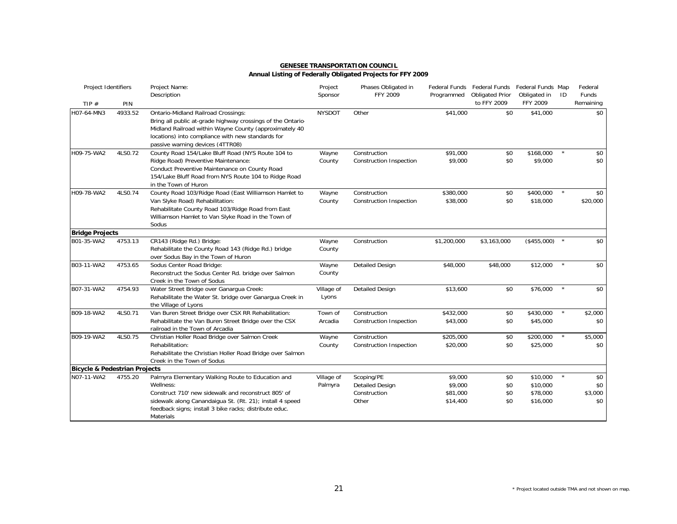| <b>GENESEE TRANSPORTATION COUNCIL</b>                       |  |
|-------------------------------------------------------------|--|
| Annual Listing of Federally Obligated Projects for FFY 2009 |  |

| Project Identifiers           |         | Project Name:<br>Description                                                                                                                                                                                                                             | Project<br>Sponsor    | Phases Obligated in<br>FFY 2009                               | Programmed                                 | Federal Funds Federal Funds<br><b>Obligated Prior</b> | Federal Funds Map<br>Obligated in            | ID      | Federal<br><b>Funds</b>      |
|-------------------------------|---------|----------------------------------------------------------------------------------------------------------------------------------------------------------------------------------------------------------------------------------------------------------|-----------------------|---------------------------------------------------------------|--------------------------------------------|-------------------------------------------------------|----------------------------------------------|---------|------------------------------|
| TIP $#$                       | PIN     |                                                                                                                                                                                                                                                          |                       |                                                               |                                            | to FFY 2009                                           | FFY 2009                                     |         | Remaining                    |
| H07-64-MN3                    | 4933.52 | Ontario-Midland Railroad Crossings:<br>Bring all public at-grade highway crossings of the Ontario-<br>Midland Railroad within Wayne County (approximately 40<br>locations) into compliance with new standards for<br>passive warning devices (4TTR08)    | <b>NYSDOT</b>         | Other                                                         | \$41,000                                   | \$0                                                   | \$41,000                                     |         | \$0                          |
| H09-75-WA2                    | 4LS0.72 | County Road 154/Lake Bluff Road (NYS Route 104 to<br>Ridge Road) Preventive Maintenance:<br>Conduct Preventive Maintenance on County Road<br>154/Lake Bluff Road from NYS Route 104 to Ridge Road<br>in the Town of Huron                                | Wayne<br>County       | Construction<br><b>Construction Inspection</b>                | \$91,000<br>\$9,000                        | \$0<br>\$0                                            | \$168,000<br>\$9,000                         |         | \$0<br>\$0                   |
| H09-78-WA2                    | 4LS0.74 | County Road 103/Ridge Road (East Williamson Hamlet to<br>Van Slyke Road) Rehabilitation:<br>Rehabilitate County Road 103/Ridge Road from East<br>Williamson Hamlet to Van Slyke Road in the Town of<br>Sodus                                             | Wayne<br>County       | Construction<br>Construction Inspection                       | \$380,000<br>\$38,000                      | \$0<br>\$0                                            | \$400,000<br>\$18,000                        |         | \$0<br>\$20,000              |
| <b>Bridge Projects</b>        |         |                                                                                                                                                                                                                                                          |                       |                                                               |                                            |                                                       |                                              |         |                              |
| B01-35-WA2                    | 4753.13 | CR143 (Ridge Rd.) Bridge:<br>Rehabilitate the County Road 143 (Ridge Rd.) bridge<br>over Sodus Bay in the Town of Huron                                                                                                                                  | Wayne<br>County       | Construction                                                  | \$1,200,000                                | \$3,163,000                                           | (\$455,000)                                  |         | \$0                          |
| B03-11-WA2                    | 4753.65 | Sodus Center Road Bridge:<br>Reconstruct the Sodus Center Rd. bridge over Salmon<br>Creek in the Town of Sodus                                                                                                                                           | Wayne<br>County       | <b>Detailed Design</b>                                        | \$48,000                                   | \$48,000                                              | \$12,000                                     |         | \$0                          |
| B07-31-WA2                    | 4754.93 | Water Street Bridge over Ganargua Creek:<br>Rehabilitate the Water St. bridge over Ganargua Creek in<br>the Village of Lyons                                                                                                                             | Village of<br>Lyons   | <b>Detailed Design</b>                                        | \$13,600                                   | \$0                                                   | \$76,000                                     |         | \$0                          |
| B09-18-WA2                    | 4LS0.71 | Van Buren Street Bridge over CSX RR Rehabilitation:<br>Rehabilitate the Van Buren Street Bridge over the CSX<br>railroad in the Town of Arcadia                                                                                                          | Town of<br>Arcadia    | Construction<br>Construction Inspection                       | \$432,000<br>\$43,000                      | \$0<br>\$0                                            | \$430,000<br>\$45,000                        | $\star$ | \$2,000<br>\$0               |
| B09-19-WA2                    | 4LS0.75 | Christian Holler Road Bridge over Salmon Creek<br>Rehabilitation:<br>Rehabilitate the Christian Holler Road Bridge over Salmon<br>Creek in the Town of Sodus                                                                                             | Wayne<br>County       | Construction<br><b>Construction Inspection</b>                | \$205,000<br>\$20,000                      | \$0<br>\$0                                            | \$200,000<br>\$25,000                        |         | \$5,000<br>\$0               |
| Bicycle & Pedestrian Projects |         |                                                                                                                                                                                                                                                          |                       |                                                               |                                            |                                                       |                                              |         |                              |
| N07-11-WA2                    | 4755.20 | Palmyra Elementary Walking Route to Education and<br>Wellness:<br>Construct 710' new sidewalk and reconstruct 805' of<br>sidewalk along Canandaigua St. (Rt. 21); install 4 speed<br>feedback signs; install 3 bike racks; distribute educ.<br>Materials | Village of<br>Palmyra | Scoping/PE<br><b>Detailed Design</b><br>Construction<br>Other | \$9,000<br>\$9,000<br>\$81,000<br>\$14,400 | \$0<br>\$0<br>\$0<br>\$0                              | \$10,000<br>\$10,000<br>\$78,000<br>\$16,000 |         | \$0<br>\$0<br>\$3,000<br>\$0 |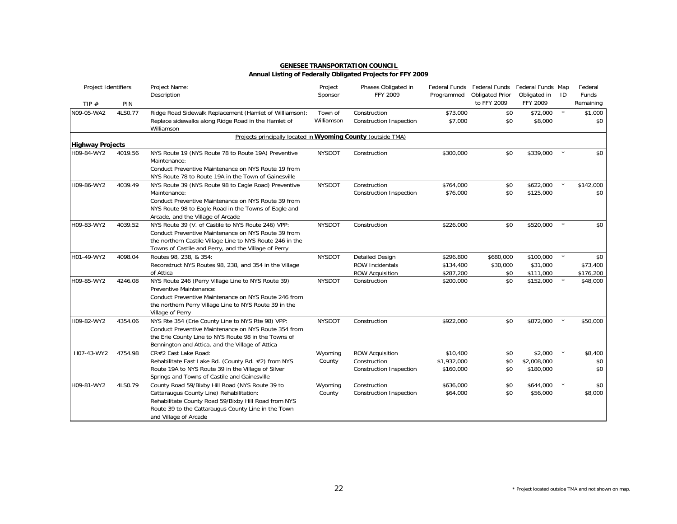### **Annual Listing of Federally Obligated Projects for FFY 2009**

| Project Identifiers     |         | Project Name:<br>Description                                                                                                                                                                                                   | Project<br>Sponsor    | Phases Obligated in<br>FFY 2009                | Programmed          | Federal Funds Federal Funds Federal Funds Map<br><b>Obligated Prior</b> | Obligated in        | ID      | Federal<br><b>Funds</b> |
|-------------------------|---------|--------------------------------------------------------------------------------------------------------------------------------------------------------------------------------------------------------------------------------|-----------------------|------------------------------------------------|---------------------|-------------------------------------------------------------------------|---------------------|---------|-------------------------|
| TIP $#$                 | PIN     |                                                                                                                                                                                                                                |                       |                                                |                     | to FFY 2009                                                             | FFY 2009            |         | Remaining               |
| N09-05-WA2              | 4LS0.77 | Ridge Road Sidewalk Replacement (Hamlet of Williamson):<br>Replace sidewalks along Ridge Road in the Hamlet of<br>Williamson                                                                                                   | Town of<br>Williamson | Construction<br><b>Construction Inspection</b> | \$73,000<br>\$7,000 | \$0<br>\$0                                                              | \$72,000<br>\$8,000 | $\star$ | \$1,000<br>\$0          |
|                         |         | Projects principally located in Wyoming County (outside TMA)                                                                                                                                                                   |                       |                                                |                     |                                                                         |                     |         |                         |
| <b>Highway Projects</b> |         |                                                                                                                                                                                                                                |                       |                                                |                     |                                                                         |                     |         |                         |
| H09-84-WY2              | 4019.56 | NYS Route 19 (NYS Route 78 to Route 19A) Preventive<br>Maintenance:<br>Conduct Preventive Maintenance on NYS Route 19 from<br>NYS Route 78 to Route 19A in the Town of Gainesville                                             | <b>NYSDOT</b>         | Construction                                   | \$300,000           | \$0                                                                     | \$339,000           |         | \$0                     |
| H09-86-WY2              | 4039.49 | NYS Route 39 (NYS Route 98 to Eagle Road) Preventive                                                                                                                                                                           | <b>NYSDOT</b>         | Construction                                   | \$764,000           | \$0                                                                     | \$622,000           |         | \$142,000               |
|                         |         | Maintenance:<br>Conduct Preventive Maintenance on NYS Route 39 from<br>NYS Route 98 to Eagle Road in the Towns of Eagle and<br>Arcade, and the Village of Arcade                                                               |                       | Construction Inspection                        | \$76,000            | \$0                                                                     | \$125,000           |         | \$0                     |
| H09-83-WY2              | 4039.52 | NYS Route 39 (V. of Castile to NYS Route 246) VPP:<br>Conduct Preventive Maintenance on NYS Route 39 from<br>the northern Castile Village Line to NYS Route 246 in the<br>Towns of Castile and Perry, and the Village of Perry | <b>NYSDOT</b>         | Construction                                   | \$226,000           | \$0                                                                     | \$520,000           |         | \$0                     |
| H01-49-WY2              | 4098.04 | Routes 98, 238, & 354:                                                                                                                                                                                                         | <b>NYSDOT</b>         | <b>Detailed Design</b>                         | \$296,800           | \$680,000                                                               | \$100,000           |         | \$0                     |
|                         |         | Reconstruct NYS Routes 98, 238, and 354 in the Village                                                                                                                                                                         |                       | <b>ROW Incidentals</b>                         | \$134,400           | \$30,000                                                                | \$31,000            |         | \$73,400                |
|                         |         | of Attica                                                                                                                                                                                                                      |                       | <b>ROW Acquisition</b>                         | \$287,200           | \$0                                                                     | \$111,000           |         | \$176,200               |
| H09-85-WY2              | 4246.08 | NYS Route 246 (Perry Village Line to NYS Route 39)<br>Preventive Maintenance:<br>Conduct Preventive Maintenance on NYS Route 246 from<br>the northern Perry Village Line to NYS Route 39 in the<br>Village of Perry            | <b>NYSDOT</b>         | Construction                                   | \$200,000           | \$0                                                                     | \$152,000           |         | \$48,000                |
| H09-82-WY2              | 4354.06 | NYS Rte 354 (Erie County Line to NYS Rte 98) VPP:<br>Conduct Preventive Maintenance on NYS Route 354 from<br>the Erie County Line to NYS Route 98 in the Towns of<br>Bennington and Attica, and the Village of Attica          | <b>NYSDOT</b>         | Construction                                   | \$922,000           | \$0                                                                     | \$872,000           | $\star$ | \$50,000                |
| H07-43-WY2              | 4754.98 | CR#2 East Lake Road:                                                                                                                                                                                                           | Wyoming               | <b>ROW Acquisition</b>                         | \$10,400            | \$0                                                                     | \$2,000             | $\star$ | \$8,400                 |
|                         |         | Rehabilitate East Lake Rd. (County Rd. #2) from NYS                                                                                                                                                                            | County                | Construction                                   | \$1,932,000         | \$0                                                                     | \$2,008,000         |         | \$0                     |
|                         |         | Route 19A to NYS Route 39 in the Village of Silver<br>Springs and Towns of Castile and Gainesville                                                                                                                             |                       | <b>Construction Inspection</b>                 | \$160,000           | \$0                                                                     | \$180,000           |         | \$0                     |
| H09-81-WY2              | 4LS0.79 | County Road 59/Bixby Hill Road (NYS Route 39 to                                                                                                                                                                                | Wyoming               | Construction                                   | \$636,000           | \$0                                                                     | \$644,000           | $\star$ | \$0                     |
|                         |         | Cattaraugus County Line) Rehabilitation:<br>Rehabilitate County Road 59/Bixby Hill Road from NYS<br>Route 39 to the Cattaraugus County Line in the Town<br>and Village of Arcade                                               | County                | <b>Construction Inspection</b>                 | \$64,000            | \$0                                                                     | \$56,000            |         | \$8,000                 |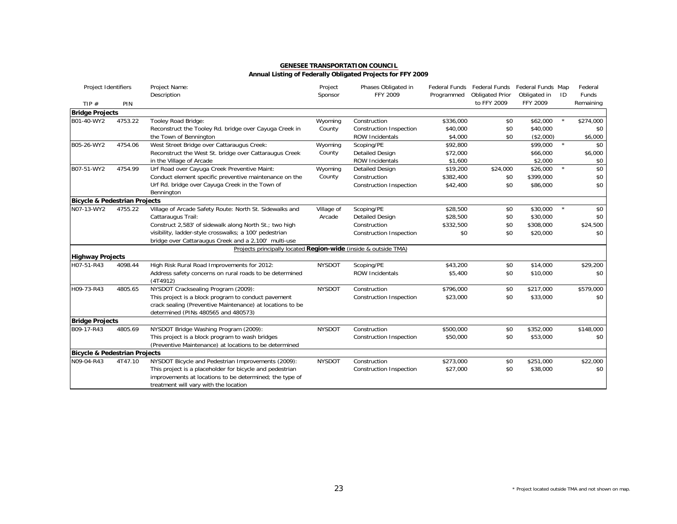| Project Identifiers                      |         | Project Name:<br>Description                                    | Project<br>Sponsor | Phases Obligated in<br>FFY 2009 | Programmed | Federal Funds Federal Funds Federal Funds Map<br><b>Obligated Prior</b> | Obligated in | ID      | Federal<br>Funds |
|------------------------------------------|---------|-----------------------------------------------------------------|--------------------|---------------------------------|------------|-------------------------------------------------------------------------|--------------|---------|------------------|
| TIP $#$                                  | PIN     |                                                                 |                    |                                 |            | to FFY 2009                                                             | FFY 2009     |         | Remaining        |
| <b>Bridge Projects</b>                   |         |                                                                 |                    |                                 |            |                                                                         |              |         |                  |
| B01-40-WY2                               | 4753.22 | Tooley Road Bridge:                                             | Wyoming            | Construction                    | \$336,000  | \$0                                                                     | \$62,000     |         | \$274,000        |
|                                          |         | Reconstruct the Tooley Rd. bridge over Cayuga Creek in          | County             | Construction Inspection         | \$40,000   | \$0                                                                     | \$40,000     |         | \$0              |
|                                          |         | the Town of Bennington                                          |                    | <b>ROW Incidentals</b>          | \$4,000    | \$0                                                                     | (\$2,000)    |         | \$6,000          |
| B05-26-WY2                               | 4754.06 | West Street Bridge over Cattaraugus Creek:                      | Wyoming            | Scoping/PE                      | \$92,800   |                                                                         | \$99,000     | $\star$ | \$0              |
|                                          |         | Reconstruct the West St. bridge over Cattaraugus Creek          | County             | <b>Detailed Design</b>          | \$72,000   |                                                                         | \$66,000     |         | \$6,000          |
|                                          |         | in the Village of Arcade                                        |                    | ROW Incidentals                 | \$1,600    |                                                                         | \$2,000      |         | \$0              |
| B07-51-WY2                               | 4754.99 | Urf Road over Cayuga Creek Preventive Maint:                    | Wyoming            | <b>Detailed Design</b>          | \$19,200   | \$24,000                                                                | \$26,000     | $\star$ | \$0              |
|                                          |         | Conduct element specific preventive maintenance on the          | County             | Construction                    | \$382,400  | \$0                                                                     | \$399,000    |         | \$0              |
|                                          |         | Urf Rd. bridge over Cayuga Creek in the Town of                 |                    | Construction Inspection         | \$42,400   | \$0                                                                     | \$86,000     |         | \$0              |
|                                          |         | Bennington                                                      |                    |                                 |            |                                                                         |              |         |                  |
| <b>Bicycle &amp; Pedestrian Projects</b> |         |                                                                 |                    |                                 |            |                                                                         |              |         |                  |
| N07-13-WY2                               | 4755.22 | Village of Arcade Safety Route: North St. Sidewalks and         | Village of         | Scoping/PE                      | \$28,500   | \$0                                                                     | \$30,000     |         | \$0              |
|                                          |         | Cattaraugus Trail:                                              | Arcade             | <b>Detailed Design</b>          | \$28,500   | \$0                                                                     | \$30,000     |         | \$0              |
|                                          |         | Construct 2,583' of sidewalk along North St.; two high          |                    | Construction                    | \$332,500  | \$0                                                                     | \$308,000    |         | \$24,500         |
|                                          |         | visibility, ladder-style crosswalks; a 100' pedestrian          |                    | Construction Inspection         | \$0        | \$0                                                                     | \$20,000     |         | \$0              |
|                                          |         | bridge over Cattaraugus Creek and a 2,100' multi-use            |                    |                                 |            |                                                                         |              |         |                  |
|                                          |         | Projects principally located Region-wide (inside & outside TMA) |                    |                                 |            |                                                                         |              |         |                  |
| <b>Highway Projects</b>                  |         |                                                                 |                    |                                 |            |                                                                         |              |         |                  |
| H07-51-R43                               | 4098.44 | High Risk Rural Road Improvements for 2012:                     | <b>NYSDOT</b>      | Scoping/PE                      | \$43,200   | \$0                                                                     | \$14,000     |         | \$29,200         |
|                                          |         | Address safety concerns on rural roads to be determined         |                    | <b>ROW Incidentals</b>          | \$5,400    | \$0                                                                     | \$10,000     |         | \$0              |
|                                          |         | (4T4912)                                                        |                    |                                 |            |                                                                         |              |         |                  |
| H09-73-R43                               | 4805.65 | NYSDOT Cracksealing Program (2009):                             | <b>NYSDOT</b>      | Construction                    | \$796,000  | \$0                                                                     | \$217,000    |         | \$579,000        |
|                                          |         | This project is a block program to conduct pavement             |                    | Construction Inspection         | \$23,000   | \$0                                                                     | \$33,000     |         | \$0              |
|                                          |         | crack sealing (Preventive Maintenance) at locations to be       |                    |                                 |            |                                                                         |              |         |                  |
|                                          |         | determined (PINs 480565 and 480573)                             |                    |                                 |            |                                                                         |              |         |                  |
| <b>Bridge Projects</b>                   |         |                                                                 |                    |                                 |            |                                                                         |              |         |                  |
| B09-17-R43                               | 4805.69 | NYSDOT Bridge Washing Program (2009):                           | <b>NYSDOT</b>      | Construction                    | \$500,000  | \$0                                                                     | \$352,000    |         | \$148,000        |
|                                          |         | This project is a block program to wash bridges                 |                    | Construction Inspection         | \$50,000   | \$0                                                                     | \$53,000     |         | \$0              |
|                                          |         | (Preventive Maintenance) at locations to be determined          |                    |                                 |            |                                                                         |              |         |                  |
| Bicycle & Pedestrian Projects            |         |                                                                 |                    |                                 |            |                                                                         |              |         |                  |
| N09-04-R43                               | 4T47.10 | NYSDOT Bicycle and Pedestrian Improvements (2009):              | <b>NYSDOT</b>      | Construction                    | \$273,000  | \$0                                                                     | \$251,000    |         | \$22,000         |
|                                          |         | This project is a placeholder for bicycle and pedestrian        |                    | Construction Inspection         | \$27,000   | \$0                                                                     | \$38,000     |         | \$0              |
|                                          |         | improvements at locations to be determined; the type of         |                    |                                 |            |                                                                         |              |         |                  |
|                                          |         | treatment will vary with the location                           |                    |                                 |            |                                                                         |              |         |                  |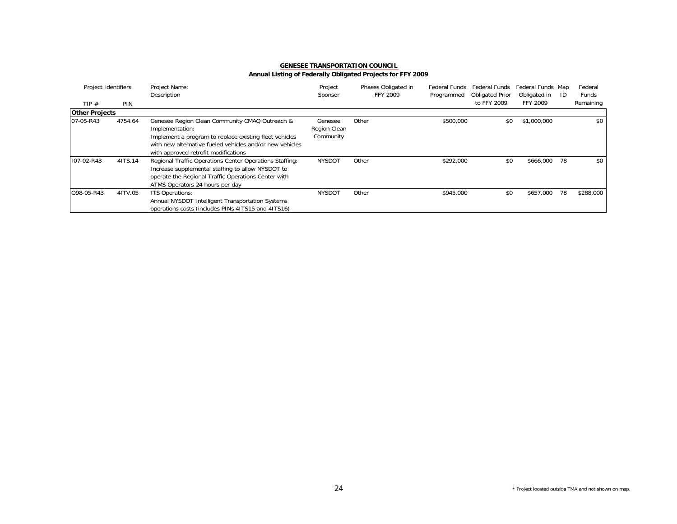| Project Identifiers   |         | Project Name:                                            | Project       | Phases Obligated in | Federal Funds | Federal Funds          | Federal Funds Map |     | Federal   |
|-----------------------|---------|----------------------------------------------------------|---------------|---------------------|---------------|------------------------|-------------------|-----|-----------|
|                       |         | Description                                              | Sponsor       | <b>FFY 2009</b>     | Programmed    | <b>Obligated Prior</b> | Obligated in      | -ID | Funds     |
| TIP $#$               | PIN     |                                                          |               |                     |               | to FFY 2009            | FFY 2009          |     | Remaining |
| <b>Other Projects</b> |         |                                                          |               |                     |               |                        |                   |     |           |
| 07-05-R43             | 4754.64 | Genesee Region Clean Community CMAQ Outreach &           | Genesee       | Other               | \$500,000     | \$0                    | \$1,000,000       |     | \$0       |
|                       |         | Implementation:                                          | Region Clean  |                     |               |                        |                   |     |           |
|                       |         | Implement a program to replace existing fleet vehicles   | Community     |                     |               |                        |                   |     |           |
|                       |         | with new alternative fueled vehicles and/or new vehicles |               |                     |               |                        |                   |     |           |
|                       |         | with approved retrofit modifications                     |               |                     |               |                        |                   |     |           |
| 107-02-R43            | 41TS.14 | Regional Traffic Operations Center Operations Staffing:  | <b>NYSDOT</b> | Other               | \$292,000     | \$0                    | \$666,000         | 78  | \$0       |
|                       |         | Increase supplemental staffing to allow NYSDOT to        |               |                     |               |                        |                   |     |           |
|                       |         | operate the Regional Traffic Operations Center with      |               |                     |               |                        |                   |     |           |
|                       |         | ATMS Operators 24 hours per day                          |               |                     |               |                        |                   |     |           |
| O98-05-R43            | 41TV.05 | <b>ITS Operations:</b>                                   | <b>NYSDOT</b> | Other               | \$945,000     | \$0                    | \$657,000         | 78  | \$288,000 |
|                       |         | Annual NYSDOT Intelligent Transportation Systems         |               |                     |               |                        |                   |     |           |
|                       |         | operations costs (includes PINs 41TS15 and 41TS16)       |               |                     |               |                        |                   |     |           |